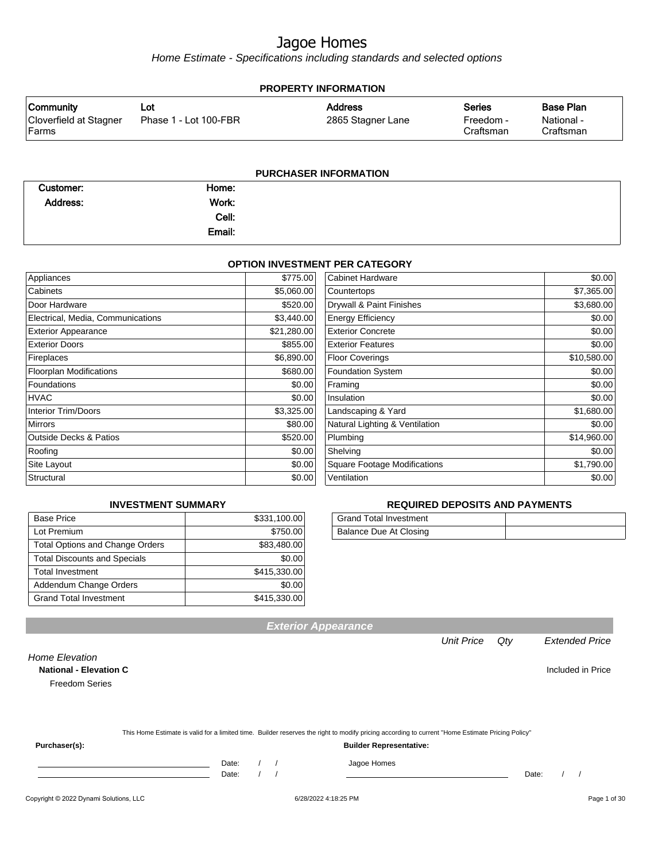Home Estimate - Specifications including standards and selected options

| <b>PROPERTY INFORMATION</b>      |                       |                   |                        |                         |  |
|----------------------------------|-----------------------|-------------------|------------------------|-------------------------|--|
| <b>Community</b>                 | Lot                   | <b>Address</b>    | Series                 | <b>Base Plan</b>        |  |
| Cloverfield at Stagner<br> Farms | Phase 1 - Lot 100-FBR | 2865 Stagner Lane | Freedom -<br>Craftsman | National -<br>Craftsman |  |
|                                  |                       |                   |                        |                         |  |

#### **PURCHASER INFORMATION**

| Customer: | Home:  |  |
|-----------|--------|--|
| Address:  | Work:  |  |
|           | Cell:  |  |
|           | Email: |  |

#### **OPTION INVESTMENT PER CATEGORY**

| Appliances                        | \$775.00    | <b>Cabinet Hardware</b>             | \$0.00      |
|-----------------------------------|-------------|-------------------------------------|-------------|
| Cabinets                          | \$5,060.00  | Countertops                         | \$7,365.00  |
| Door Hardware                     | \$520.00    | Drywall & Paint Finishes            | \$3,680.00  |
| Electrical, Media, Communications | \$3,440.00  | <b>Energy Efficiency</b>            | \$0.00      |
| <b>Exterior Appearance</b>        | \$21,280.00 | <b>Exterior Concrete</b>            | \$0.00      |
| <b>Exterior Doors</b>             | \$855.00    | <b>Exterior Features</b>            | \$0.00      |
| Fireplaces                        | \$6,890.00  | <b>Floor Coverings</b>              | \$10,580.00 |
| <b>Floorplan Modifications</b>    | \$680.00    | <b>Foundation System</b>            | \$0.00      |
| Foundations                       | \$0.00      | Framing                             | \$0.00      |
| <b>HVAC</b>                       | \$0.00      | Insulation                          | \$0.00      |
| <b>Interior Trim/Doors</b>        | \$3,325.00  | Landscaping & Yard                  | \$1,680.00  |
| <b>Mirrors</b>                    | \$80.00     | Natural Lighting & Ventilation      | \$0.00      |
| <b>Outside Decks &amp; Patios</b> | \$520.00    | Plumbing                            | \$14,960.00 |
| Roofing                           | \$0.00      | Shelving                            | \$0.00      |
| Site Layout                       | \$0.00      | <b>Square Footage Modifications</b> | \$1,790.00  |
| Structural                        | \$0.00      | Ventilation                         | \$0.00      |

#### **INVESTMENT SUMMARY**

| <b>Base Price</b>                      | \$331,100.00 |
|----------------------------------------|--------------|
| Lot Premium                            | \$750.00     |
| <b>Total Options and Change Orders</b> | \$83,480.00  |
| <b>Total Discounts and Specials</b>    | \$0.00       |
| <b>Total Investment</b>                | \$415,330.00 |
| Addendum Change Orders                 | \$0.00       |
| <b>Grand Total Investment</b>          | \$415,330.00 |

#### **REQUIRED DEPOSITS AND PAYMENTS**

| Grand Total Investment |  |
|------------------------|--|
| Balance Due At Closing |  |

| Purchaser(s):         | <b>Builder Representative:</b>                                                                                                                   |
|-----------------------|--------------------------------------------------------------------------------------------------------------------------------------------------|
|                       | This Home Estimate is valid for a limited time. Builder reserves the right to modify pricing according to current "Home Estimate Pricing Policy" |
|                       |                                                                                                                                                  |
|                       |                                                                                                                                                  |
| <b>Freedom Series</b> |                                                                                                                                                  |

Date: / / Jagoe Homes<br>Date: / / Jagoe Homes

Unit Price Qty Extended Price

Home Elevation

**Exterior Appearance**

**National - Elevation C Included in Price**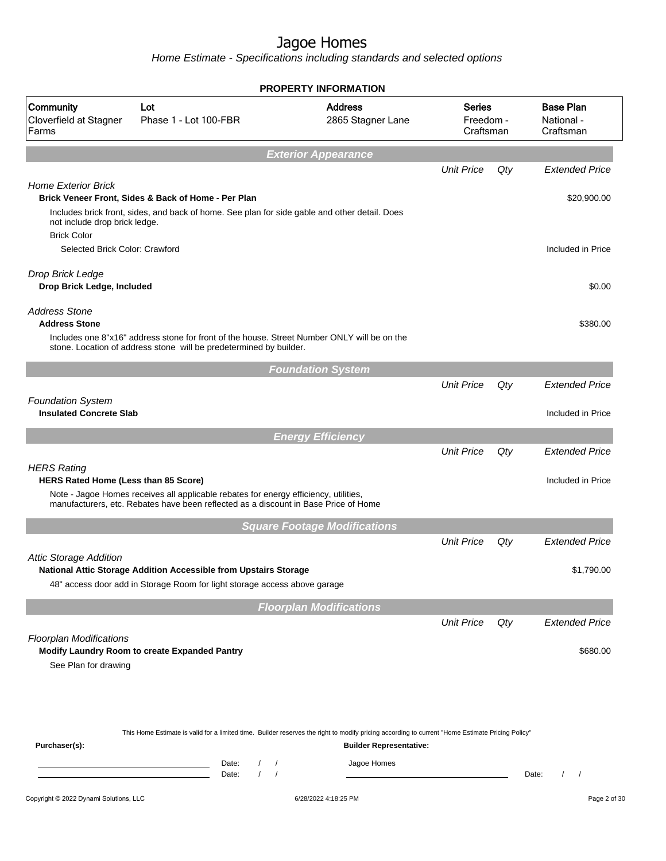Home Estimate - Specifications including standards and selected options

|                                                        |                                                                                                                                                                             | PROPERTY INFORMATION                                                                                                                                                               |                                         |       |                                             |
|--------------------------------------------------------|-----------------------------------------------------------------------------------------------------------------------------------------------------------------------------|------------------------------------------------------------------------------------------------------------------------------------------------------------------------------------|-----------------------------------------|-------|---------------------------------------------|
| Community<br>Cloverfield at Stagner<br>Farms           | Lot<br>Phase 1 - Lot 100-FBR                                                                                                                                                | <b>Address</b><br>2865 Stagner Lane                                                                                                                                                | <b>Series</b><br>Freedom -<br>Craftsman |       | <b>Base Plan</b><br>National -<br>Craftsman |
|                                                        |                                                                                                                                                                             | <b>Exterior Appearance</b>                                                                                                                                                         |                                         |       |                                             |
| <b>Home Exterior Brick</b>                             |                                                                                                                                                                             |                                                                                                                                                                                    | <b>Unit Price</b>                       | Qty   | <b>Extended Price</b>                       |
|                                                        | Brick Veneer Front, Sides & Back of Home - Per Plan                                                                                                                         |                                                                                                                                                                                    |                                         |       | \$20,900.00                                 |
| not include drop brick ledge.<br><b>Brick Color</b>    | Includes brick front, sides, and back of home. See plan for side gable and other detail. Does                                                                               |                                                                                                                                                                                    |                                         |       |                                             |
| Selected Brick Color: Crawford                         |                                                                                                                                                                             |                                                                                                                                                                                    |                                         |       | Included in Price                           |
| Drop Brick Ledge<br>Drop Brick Ledge, Included         |                                                                                                                                                                             |                                                                                                                                                                                    |                                         |       | \$0.00                                      |
| <b>Address Stone</b><br><b>Address Stone</b>           |                                                                                                                                                                             |                                                                                                                                                                                    |                                         |       | \$380.00                                    |
|                                                        | Includes one 8"x16" address stone for front of the house. Street Number ONLY will be on the<br>stone. Location of address stone will be predetermined by builder.           |                                                                                                                                                                                    |                                         |       |                                             |
|                                                        |                                                                                                                                                                             | <b>Foundation System</b>                                                                                                                                                           |                                         |       |                                             |
| <b>Foundation System</b>                               |                                                                                                                                                                             |                                                                                                                                                                                    | <b>Unit Price</b>                       | Qty   | <b>Extended Price</b>                       |
| <b>Insulated Concrete Slab</b>                         |                                                                                                                                                                             |                                                                                                                                                                                    |                                         |       | Included in Price                           |
|                                                        |                                                                                                                                                                             | <b>Energy Efficiency</b>                                                                                                                                                           |                                         |       |                                             |
| <b>HERS Rating</b>                                     |                                                                                                                                                                             |                                                                                                                                                                                    | <b>Unit Price</b>                       | Qty   | <b>Extended Price</b>                       |
| HERS Rated Home (Less than 85 Score)                   |                                                                                                                                                                             |                                                                                                                                                                                    |                                         |       | Included in Price                           |
|                                                        | Note - Jagoe Homes receives all applicable rebates for energy efficiency, utilities,<br>manufacturers, etc. Rebates have been reflected as a discount in Base Price of Home |                                                                                                                                                                                    |                                         |       |                                             |
|                                                        |                                                                                                                                                                             | <b>Square Footage Modifications</b>                                                                                                                                                |                                         |       |                                             |
| <b>Attic Storage Addition</b>                          |                                                                                                                                                                             |                                                                                                                                                                                    | <b>Unit Price</b>                       | Qty   | <b>Extended Price</b>                       |
|                                                        | National Attic Storage Addition Accessible from Upstairs Storage                                                                                                            |                                                                                                                                                                                    |                                         |       | \$1,790.00                                  |
|                                                        | 48" access door add in Storage Room for light storage access above garage                                                                                                   |                                                                                                                                                                                    |                                         |       |                                             |
|                                                        |                                                                                                                                                                             | <b>Floorplan Modifications</b>                                                                                                                                                     |                                         |       |                                             |
|                                                        |                                                                                                                                                                             |                                                                                                                                                                                    | <b>Unit Price</b>                       | Qty   | <b>Extended Price</b>                       |
| <b>Floorplan Modifications</b><br>See Plan for drawing | Modify Laundry Room to create Expanded Pantry                                                                                                                               |                                                                                                                                                                                    |                                         |       | \$680.00                                    |
|                                                        |                                                                                                                                                                             |                                                                                                                                                                                    |                                         |       |                                             |
| Purchaser(s):                                          |                                                                                                                                                                             | This Home Estimate is valid for a limited time. Builder reserves the right to modify pricing according to current "Home Estimate Pricing Policy"<br><b>Builder Representative:</b> |                                         |       |                                             |
|                                                        | Date:<br>$\prime$<br>Date:                                                                                                                                                  | Jagoe Homes<br>$\prime$<br>$\sqrt{ }$                                                                                                                                              |                                         | Date: | $\prime$<br>$\prime$                        |
| Copyright © 2022 Dynami Solutions, LLC                 |                                                                                                                                                                             | 6/28/2022 4:18:25 PM                                                                                                                                                               |                                         |       | Page 2 of 30                                |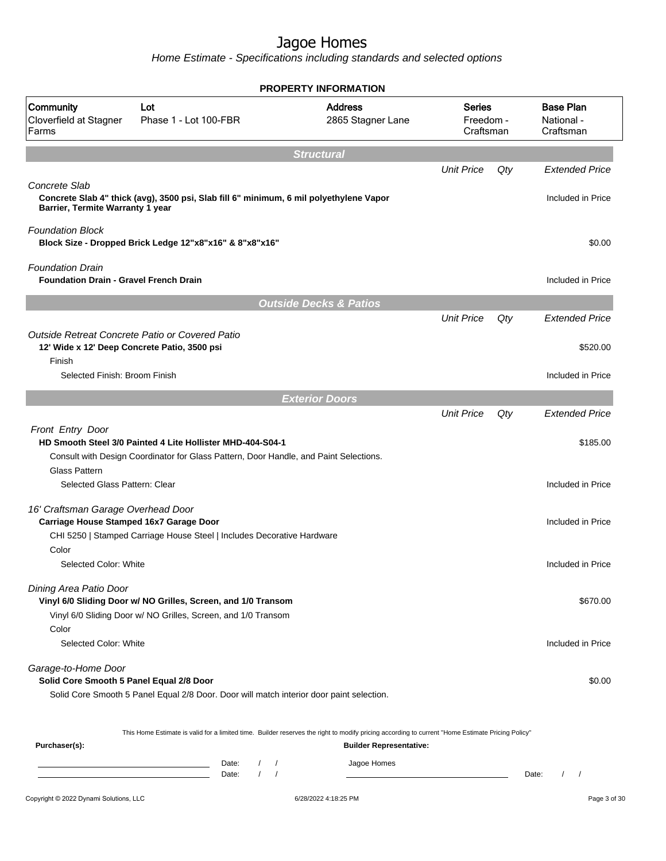Home Estimate - Specifications including standards and selected options

|                                                                               |                                                                                                                                                     | <b>PROPERTY INFORMATION</b>         |                                         |     |                                             |
|-------------------------------------------------------------------------------|-----------------------------------------------------------------------------------------------------------------------------------------------------|-------------------------------------|-----------------------------------------|-----|---------------------------------------------|
| Community<br>Cloverfield at Stagner<br>Farms                                  | Lot<br>Phase 1 - Lot 100-FBR                                                                                                                        | <b>Address</b><br>2865 Stagner Lane | <b>Series</b><br>Freedom -<br>Craftsman |     | <b>Base Plan</b><br>National -<br>Craftsman |
|                                                                               |                                                                                                                                                     | <b>Structural</b>                   |                                         |     |                                             |
|                                                                               |                                                                                                                                                     |                                     | <b>Unit Price</b>                       | Qty | <b>Extended Price</b>                       |
| Concrete Slab<br>Barrier, Termite Warranty 1 year                             | Concrete Slab 4" thick (avg), 3500 psi, Slab fill 6" minimum, 6 mil polyethylene Vapor                                                              |                                     |                                         |     | Included in Price                           |
| <b>Foundation Block</b>                                                       | Block Size - Dropped Brick Ledge 12"x8"x16" & 8"x8"x16"                                                                                             |                                     |                                         |     | \$0.00                                      |
| <b>Foundation Drain</b><br><b>Foundation Drain - Gravel French Drain</b>      |                                                                                                                                                     |                                     |                                         |     | Included in Price                           |
|                                                                               |                                                                                                                                                     | <b>Outside Decks &amp; Patios</b>   |                                         |     |                                             |
|                                                                               |                                                                                                                                                     |                                     | <b>Unit Price</b>                       | Qty | <b>Extended Price</b>                       |
| Finish                                                                        | Outside Retreat Concrete Patio or Covered Patio<br>12' Wide x 12' Deep Concrete Patio, 3500 psi                                                     |                                     |                                         |     | \$520.00                                    |
| Selected Finish: Broom Finish                                                 |                                                                                                                                                     |                                     |                                         |     | Included in Price                           |
|                                                                               |                                                                                                                                                     | <b>Exterior Doors</b>               |                                         |     |                                             |
|                                                                               |                                                                                                                                                     |                                     | <b>Unit Price</b>                       | Qty | <b>Extended Price</b>                       |
| Front Entry Door                                                              | HD Smooth Steel 3/0 Painted 4 Lite Hollister MHD-404-S04-1<br>Consult with Design Coordinator for Glass Pattern, Door Handle, and Paint Selections. |                                     |                                         |     | \$185.00                                    |
| Glass Pattern<br>Selected Glass Pattern: Clear                                |                                                                                                                                                     |                                     |                                         |     | Included in Price                           |
| 16' Craftsman Garage Overhead Door<br>Carriage House Stamped 16x7 Garage Door | CHI 5250   Stamped Carriage House Steel   Includes Decorative Hardware                                                                              |                                     |                                         |     | Included in Price                           |
| Color<br>Selected Color: White                                                |                                                                                                                                                     |                                     |                                         |     | Included in Price                           |
| Dining Area Patio Door                                                        | Vinyl 6/0 Sliding Door w/ NO Grilles, Screen, and 1/0 Transom<br>Vinyl 6/0 Sliding Door w/ NO Grilles, Screen, and 1/0 Transom                      |                                     |                                         |     | \$670.00                                    |
| Color<br>Selected Color: White                                                |                                                                                                                                                     |                                     |                                         |     | Included in Price                           |
| Garage-to-Home Door<br>Solid Core Smooth 5 Panel Equal 2/8 Door               | Solid Core Smooth 5 Panel Equal 2/8 Door. Door will match interior door paint selection.                                                            |                                     |                                         |     | \$0.00                                      |
|                                                                               |                                                                                                                                                     |                                     |                                         |     |                                             |
| Purchaser(s):                                                                 | This Home Estimate is valid for a limited time. Builder reserves the right to modify pricing according to current "Home Estimate Pricing Policy"    | <b>Builder Representative:</b>      |                                         |     |                                             |
|                                                                               | Date:<br>Date:                                                                                                                                      | Jagoe Homes                         |                                         |     | Date:<br>$1 \quad 1$                        |

#### Copyright © 2022 Dynami Solutions, LLC <br>
■ 6/28/2022 4:18:25 PM Page 3 of 30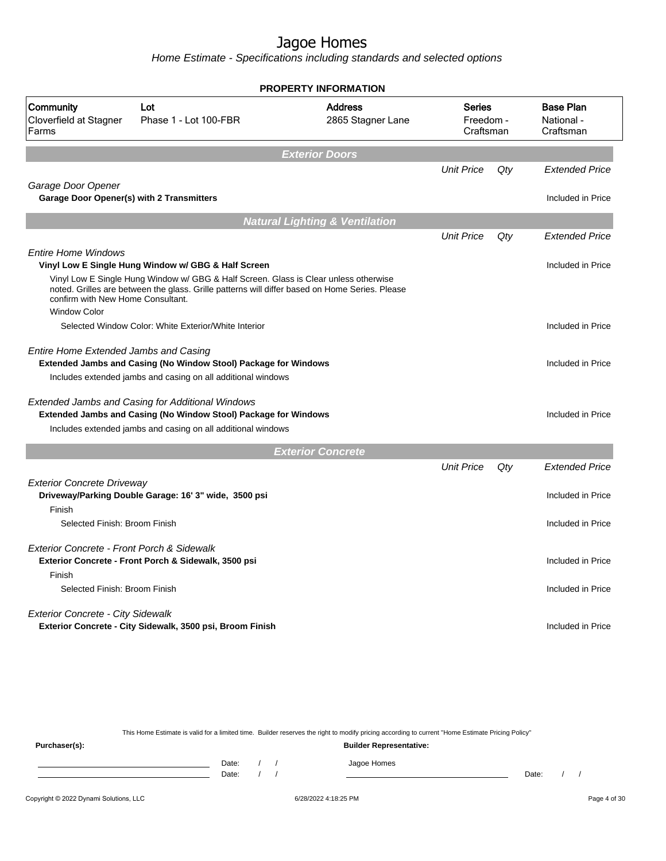Home Estimate - Specifications including standards and selected options

|                                                                        |                                                                                                                                                                                                                                               | <b>PROPERTY INFORMATION</b>               |                                         |     |                                             |
|------------------------------------------------------------------------|-----------------------------------------------------------------------------------------------------------------------------------------------------------------------------------------------------------------------------------------------|-------------------------------------------|-----------------------------------------|-----|---------------------------------------------|
| Community<br>Cloverfield at Stagner<br>Farms                           | Lot<br>Phase 1 - Lot 100-FBR                                                                                                                                                                                                                  | <b>Address</b><br>2865 Stagner Lane       | <b>Series</b><br>Freedom -<br>Craftsman |     | <b>Base Plan</b><br>National -<br>Craftsman |
|                                                                        |                                                                                                                                                                                                                                               | <b>Exterior Doors</b>                     |                                         |     |                                             |
|                                                                        |                                                                                                                                                                                                                                               |                                           | <b>Unit Price</b>                       | Qty | <b>Extended Price</b>                       |
| Garage Door Opener<br><b>Garage Door Opener(s) with 2 Transmitters</b> |                                                                                                                                                                                                                                               |                                           |                                         |     | Included in Price                           |
|                                                                        |                                                                                                                                                                                                                                               | <b>Natural Lighting &amp; Ventilation</b> |                                         |     |                                             |
|                                                                        |                                                                                                                                                                                                                                               |                                           | <b>Unit Price</b>                       | Qty | <b>Extended Price</b>                       |
| <b>Entire Home Windows</b><br>confirm with New Home Consultant.        | Vinyl Low E Single Hung Window w/ GBG & Half Screen<br>Vinyl Low E Single Hung Window w/ GBG & Half Screen. Glass is Clear unless otherwise<br>noted. Grilles are between the glass. Grille patterns will differ based on Home Series. Please |                                           |                                         |     | Included in Price                           |
| <b>Window Color</b>                                                    | Selected Window Color: White Exterior/White Interior                                                                                                                                                                                          |                                           |                                         |     | Included in Price                           |
| Entire Home Extended Jambs and Casing                                  | <b>Extended Jambs and Casing (No Window Stool) Package for Windows</b><br>Includes extended jambs and casing on all additional windows                                                                                                        |                                           |                                         |     | Included in Price                           |
|                                                                        | Extended Jambs and Casing for Additional Windows<br>Extended Jambs and Casing (No Window Stool) Package for Windows<br>Includes extended jambs and casing on all additional windows                                                           |                                           |                                         |     | Included in Price                           |
|                                                                        |                                                                                                                                                                                                                                               | <b>Exterior Concrete</b>                  |                                         |     |                                             |
|                                                                        |                                                                                                                                                                                                                                               |                                           | <b>Unit Price</b>                       | Qty | <b>Extended Price</b>                       |
| <b>Exterior Concrete Driveway</b><br>Finish                            | Driveway/Parking Double Garage: 16' 3" wide, 3500 psi                                                                                                                                                                                         |                                           |                                         |     | Included in Price                           |
| Selected Finish: Broom Finish                                          |                                                                                                                                                                                                                                               |                                           |                                         |     | Included in Price                           |
| Exterior Concrete - Front Porch & Sidewalk<br>Finish                   | Exterior Concrete - Front Porch & Sidewalk, 3500 psi                                                                                                                                                                                          |                                           |                                         |     | Included in Price                           |
| Selected Finish: Broom Finish                                          |                                                                                                                                                                                                                                               |                                           |                                         |     | Included in Price                           |
| <b>Exterior Concrete - City Sidewalk</b>                               | Exterior Concrete - City Sidewalk, 3500 psi, Broom Finish                                                                                                                                                                                     |                                           |                                         |     | Included in Price                           |

This Home Estimate is valid for a limited time. Builder reserves the right to modify pricing according to current "Home Estimate Pricing Policy" **Purchaser(s): Builder Representative:** Date: / / Jagoe Homes<br>Date: / / Jagoe Homes Date: / / **Date: / / 2006** Date: / / / Date: / / /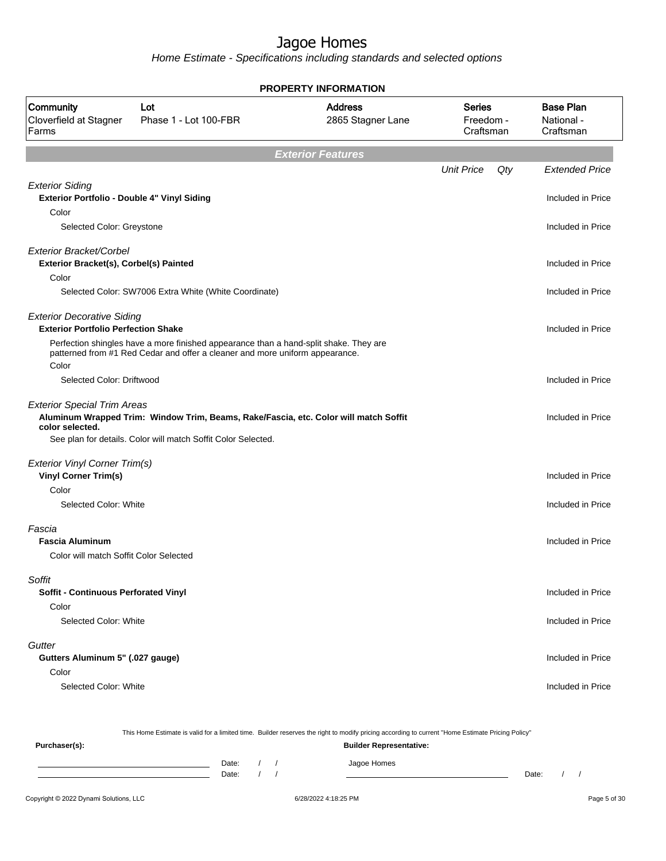Home Estimate - Specifications including standards and selected options

|                                                                                 |                                                                                                                                                                       | <b>PROPERTY INFORMATION</b>         |                                         |     |                                             |
|---------------------------------------------------------------------------------|-----------------------------------------------------------------------------------------------------------------------------------------------------------------------|-------------------------------------|-----------------------------------------|-----|---------------------------------------------|
| Community<br>Cloverfield at Stagner<br>Farms                                    | Lot<br>Phase 1 - Lot 100-FBR                                                                                                                                          | <b>Address</b><br>2865 Stagner Lane | <b>Series</b><br>Freedom -<br>Craftsman |     | <b>Base Plan</b><br>National -<br>Craftsman |
|                                                                                 |                                                                                                                                                                       | <b>Exterior Features</b>            |                                         |     |                                             |
|                                                                                 |                                                                                                                                                                       |                                     | <b>Unit Price</b>                       | Qty | <b>Extended Price</b>                       |
| <b>Exterior Siding</b><br>Exterior Portfolio - Double 4" Vinyl Siding<br>Color  |                                                                                                                                                                       |                                     |                                         |     | Included in Price                           |
| Selected Color: Greystone                                                       |                                                                                                                                                                       |                                     |                                         |     | Included in Price                           |
| Exterior Bracket/Corbel<br>Exterior Bracket(s), Corbel(s) Painted               |                                                                                                                                                                       |                                     |                                         |     | Included in Price                           |
| Color                                                                           | Selected Color: SW7006 Extra White (White Coordinate)                                                                                                                 |                                     |                                         |     | Included in Price                           |
| <b>Exterior Decorative Siding</b><br><b>Exterior Portfolio Perfection Shake</b> |                                                                                                                                                                       |                                     |                                         |     | Included in Price                           |
| Color                                                                           | Perfection shingles have a more finished appearance than a hand-split shake. They are<br>patterned from #1 Red Cedar and offer a cleaner and more uniform appearance. |                                     |                                         |     |                                             |
| Selected Color: Driftwood                                                       |                                                                                                                                                                       |                                     |                                         |     | Included in Price                           |
| <b>Exterior Special Trim Areas</b><br>color selected.                           | Aluminum Wrapped Trim: Window Trim, Beams, Rake/Fascia, etc. Color will match Soffit<br>See plan for details. Color will match Soffit Color Selected.                 |                                     |                                         |     | Included in Price                           |
| <b>Exterior Vinyl Corner Trim(s)</b>                                            |                                                                                                                                                                       |                                     |                                         |     |                                             |
| <b>Vinyl Corner Trim(s)</b>                                                     |                                                                                                                                                                       |                                     |                                         |     | Included in Price                           |
| Color<br>Selected Color: White                                                  |                                                                                                                                                                       |                                     |                                         |     | Included in Price                           |
| Fascia<br><b>Fascia Aluminum</b>                                                |                                                                                                                                                                       |                                     |                                         |     | Included in Price                           |
| Color will match Soffit Color Selected                                          |                                                                                                                                                                       |                                     |                                         |     |                                             |
| Soffit<br><b>Soffit - Continuous Perforated Vinyl</b>                           |                                                                                                                                                                       |                                     |                                         |     | Included in Price                           |
| Color<br>Selected Color: White                                                  |                                                                                                                                                                       |                                     |                                         |     | Included in Price                           |
| Gutter                                                                          |                                                                                                                                                                       |                                     |                                         |     |                                             |
| Gutters Aluminum 5" (.027 gauge)                                                |                                                                                                                                                                       |                                     |                                         |     | Included in Price                           |
| Color<br>Selected Color: White                                                  |                                                                                                                                                                       |                                     |                                         |     | Included in Price                           |
|                                                                                 |                                                                                                                                                                       |                                     |                                         |     |                                             |

Copyright © 2022 Dynami Solutions, LLC <br>
6/28/2022 4:18:25 PM Page 5 of 30 This Home Estimate is valid for a limited time. Builder reserves the right to modify pricing according to current "Home Estimate Pricing Policy" **Purchaser(s): Builder Representative:** Date: / / Jagoe Homes<br>Date: / / Jagoe Homes Date: / / **Date: / / 2006** Date: / / **Date: / / / 2006** Date: / / / 2006 Date: / / / 2006 Date: / / / 2006 Date: / / / 2007 Date: / / / 2007 Date: / / / 2008 Date: / / / 2008 Date: / / / 2008 Date: / / / 2008 Date: / / / 2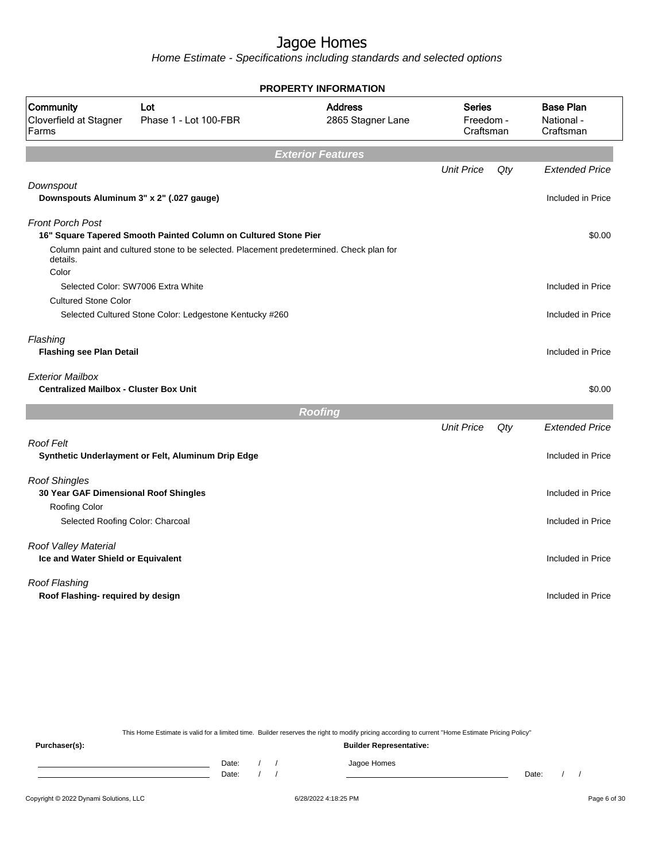Home Estimate - Specifications including standards and selected options

|                                                                          |                                                                                         | <b>PROPERTY INFORMATION</b>         |                                         |     |                                             |
|--------------------------------------------------------------------------|-----------------------------------------------------------------------------------------|-------------------------------------|-----------------------------------------|-----|---------------------------------------------|
| Community<br>Cloverfield at Stagner<br>Farms                             | Lot<br>Phase 1 - Lot 100-FBR                                                            | <b>Address</b><br>2865 Stagner Lane | <b>Series</b><br>Freedom -<br>Craftsman |     | <b>Base Plan</b><br>National -<br>Craftsman |
|                                                                          |                                                                                         | <b>Exterior Features</b>            |                                         |     |                                             |
|                                                                          |                                                                                         |                                     | <b>Unit Price</b>                       | Qty | <b>Extended Price</b>                       |
| Downspout<br>Downspouts Aluminum 3" x 2" (.027 gauge)                    |                                                                                         |                                     |                                         |     | Included in Price                           |
| <b>Front Porch Post</b>                                                  |                                                                                         |                                     |                                         |     |                                             |
|                                                                          | 16" Square Tapered Smooth Painted Column on Cultured Stone Pier                         |                                     |                                         |     | \$0.00                                      |
| details.                                                                 | Column paint and cultured stone to be selected. Placement predetermined. Check plan for |                                     |                                         |     |                                             |
| Color                                                                    | Selected Color: SW7006 Extra White                                                      |                                     |                                         |     | Included in Price                           |
| <b>Cultured Stone Color</b>                                              |                                                                                         |                                     |                                         |     |                                             |
|                                                                          | Selected Cultured Stone Color: Ledgestone Kentucky #260                                 |                                     |                                         |     | Included in Price                           |
| Flashing                                                                 |                                                                                         |                                     |                                         |     |                                             |
| <b>Flashing see Plan Detail</b>                                          |                                                                                         |                                     |                                         |     | Included in Price                           |
| <b>Exterior Mailbox</b><br><b>Centralized Mailbox - Cluster Box Unit</b> |                                                                                         |                                     |                                         |     | \$0.00                                      |
|                                                                          |                                                                                         | <b>Roofing</b>                      |                                         |     |                                             |
|                                                                          |                                                                                         |                                     | <b>Unit Price</b>                       | Qty | <b>Extended Price</b>                       |
| Roof Felt                                                                | Synthetic Underlayment or Felt, Aluminum Drip Edge                                      |                                     |                                         |     | Included in Price                           |
|                                                                          |                                                                                         |                                     |                                         |     |                                             |
| <b>Roof Shingles</b>                                                     |                                                                                         |                                     |                                         |     |                                             |
| 30 Year GAF Dimensional Roof Shingles                                    |                                                                                         |                                     |                                         |     | Included in Price                           |
| Roofing Color                                                            |                                                                                         |                                     |                                         |     |                                             |
| Selected Roofing Color: Charcoal                                         |                                                                                         |                                     |                                         |     | Included in Price                           |
| Roof Valley Material                                                     |                                                                                         |                                     |                                         |     |                                             |
| Ice and Water Shield or Equivalent                                       |                                                                                         |                                     |                                         |     | Included in Price                           |
| Roof Flashing                                                            |                                                                                         |                                     |                                         |     |                                             |
| Roof Flashing- required by design                                        |                                                                                         |                                     |                                         |     | Included in Price                           |
|                                                                          |                                                                                         |                                     |                                         |     |                                             |
|                                                                          |                                                                                         |                                     |                                         |     |                                             |

This Home Estimate is valid for a limited time. Builder reserves the right to modify pricing according to current "Home Estimate Pricing Policy"

**Purchaser(s): Builder Representative:** Date: / / Jagoe Homes<br>Date: / / Jagoe Homes Date: / / **Date: / / 2006** Date: / / / Date: / / /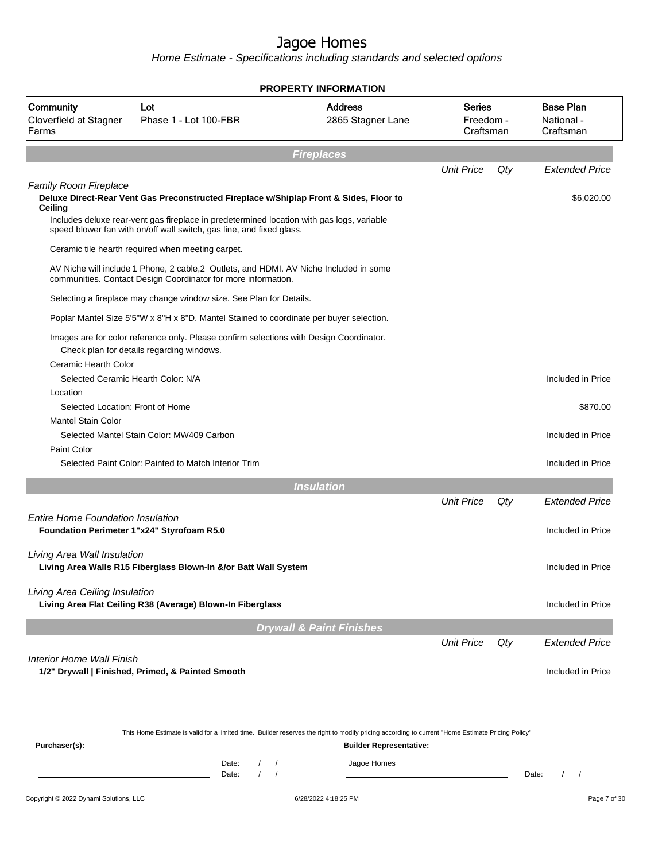Home Estimate - Specifications including standards and selected options

|                                              |                                                                                                                                                                                                                                                             | <b>PROPERTY INFORMATION</b>         |                                         |     |                                             |
|----------------------------------------------|-------------------------------------------------------------------------------------------------------------------------------------------------------------------------------------------------------------------------------------------------------------|-------------------------------------|-----------------------------------------|-----|---------------------------------------------|
| Community<br>Cloverfield at Stagner<br>Farms | Lot<br>Phase 1 - Lot 100-FBR                                                                                                                                                                                                                                | <b>Address</b><br>2865 Stagner Lane | <b>Series</b><br>Freedom -<br>Craftsman |     | <b>Base Plan</b><br>National -<br>Craftsman |
|                                              |                                                                                                                                                                                                                                                             | <b>Fireplaces</b>                   |                                         |     |                                             |
|                                              |                                                                                                                                                                                                                                                             |                                     | <b>Unit Price</b>                       | Qty | <b>Extended Price</b>                       |
| <b>Family Room Fireplace</b><br>Ceiling      | Deluxe Direct-Rear Vent Gas Preconstructed Fireplace w/Shiplap Front & Sides, Floor to<br>Includes deluxe rear-vent gas fireplace in predetermined location with gas logs, variable<br>speed blower fan with on/off wall switch, gas line, and fixed glass. |                                     |                                         |     | \$6,020.00                                  |
|                                              | Ceramic tile hearth required when meeting carpet.                                                                                                                                                                                                           |                                     |                                         |     |                                             |
|                                              | AV Niche will include 1 Phone, 2 cable, 2 Outlets, and HDMI. AV Niche Included in some<br>communities. Contact Design Coordinator for more information.                                                                                                     |                                     |                                         |     |                                             |
|                                              | Selecting a fireplace may change window size. See Plan for Details.                                                                                                                                                                                         |                                     |                                         |     |                                             |
|                                              | Poplar Mantel Size 5'5"W x 8"H x 8"D. Mantel Stained to coordinate per buyer selection.                                                                                                                                                                     |                                     |                                         |     |                                             |
|                                              | Images are for color reference only. Please confirm selections with Design Coordinator.<br>Check plan for details regarding windows.                                                                                                                        |                                     |                                         |     |                                             |
| Ceramic Hearth Color                         | Selected Ceramic Hearth Color: N/A                                                                                                                                                                                                                          |                                     |                                         |     | Included in Price                           |
| Location<br>Selected Location: Front of Home |                                                                                                                                                                                                                                                             |                                     |                                         |     | \$870.00                                    |
| <b>Mantel Stain Color</b>                    | Selected Mantel Stain Color: MW409 Carbon                                                                                                                                                                                                                   |                                     |                                         |     | Included in Price                           |
| Paint Color                                  | Selected Paint Color: Painted to Match Interior Trim                                                                                                                                                                                                        |                                     |                                         |     | Included in Price                           |
|                                              |                                                                                                                                                                                                                                                             | <b>Insulation</b>                   |                                         |     |                                             |
|                                              |                                                                                                                                                                                                                                                             |                                     | <b>Unit Price</b>                       | Qty | <b>Extended Price</b>                       |
| <b>Entire Home Foundation Insulation</b>     | Foundation Perimeter 1"x24" Styrofoam R5.0                                                                                                                                                                                                                  |                                     |                                         |     | Included in Price                           |
| Living Area Wall Insulation                  | Living Area Walls R15 Fiberglass Blown-In &/or Batt Wall System                                                                                                                                                                                             |                                     |                                         |     | Included in Price                           |
| Living Area Ceiling Insulation               | Living Area Flat Ceiling R38 (Average) Blown-In Fiberglass                                                                                                                                                                                                  |                                     |                                         |     | Included in Price                           |
|                                              |                                                                                                                                                                                                                                                             | <b>Drywall &amp; Paint Finishes</b> |                                         |     |                                             |
|                                              |                                                                                                                                                                                                                                                             |                                     | <b>Unit Price</b>                       | Qty | <b>Extended Price</b>                       |
| Interior Home Wall Finish                    | 1/2" Drywall   Finished, Primed, & Painted Smooth                                                                                                                                                                                                           |                                     |                                         |     | Included in Price                           |
|                                              | This Home Estimate is valid for a limited time. Builder reserves the right to modify pricing according to current "Home Estimate Pricing Policy"                                                                                                            |                                     |                                         |     |                                             |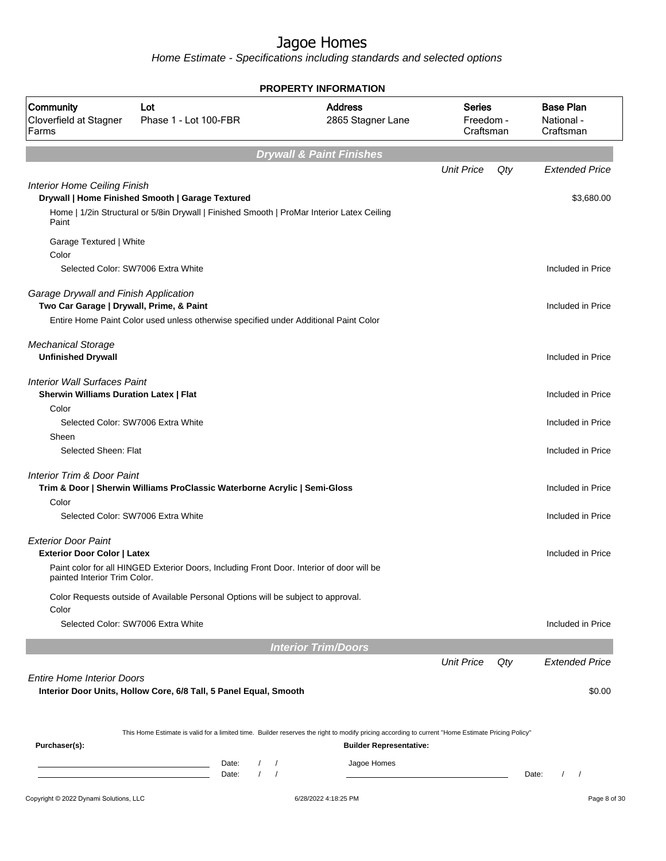Home Estimate - Specifications including standards and selected options

|                                                                                      |                                                                                                                                                                                    | <b>PROPERTY INFORMATION</b>         |                                         |     |                                             |
|--------------------------------------------------------------------------------------|------------------------------------------------------------------------------------------------------------------------------------------------------------------------------------|-------------------------------------|-----------------------------------------|-----|---------------------------------------------|
| Community<br>Cloverfield at Stagner<br>Farms                                         | Lot<br>Phase 1 - Lot 100-FBR                                                                                                                                                       | <b>Address</b><br>2865 Stagner Lane | <b>Series</b><br>Freedom -<br>Craftsman |     | <b>Base Plan</b><br>National -<br>Craftsman |
|                                                                                      |                                                                                                                                                                                    | <b>Drywall &amp; Paint Finishes</b> |                                         |     |                                             |
|                                                                                      |                                                                                                                                                                                    |                                     | <b>Unit Price</b>                       | Qty | <b>Extended Price</b>                       |
| <b>Interior Home Ceiling Finish</b>                                                  | Drywall   Home Finished Smooth   Garage Textured                                                                                                                                   |                                     |                                         |     | \$3,680.00                                  |
| Paint                                                                                | Home   1/2in Structural or 5/8in Drywall   Finished Smooth   ProMar Interior Latex Ceiling                                                                                         |                                     |                                         |     |                                             |
| Garage Textured   White<br>Color                                                     |                                                                                                                                                                                    |                                     |                                         |     |                                             |
|                                                                                      | Selected Color: SW7006 Extra White                                                                                                                                                 |                                     |                                         |     | Included in Price                           |
| Garage Drywall and Finish Application<br>Two Car Garage   Drywall, Prime, & Paint    |                                                                                                                                                                                    |                                     |                                         |     | Included in Price                           |
|                                                                                      | Entire Home Paint Color used unless otherwise specified under Additional Paint Color                                                                                               |                                     |                                         |     |                                             |
| <b>Mechanical Storage</b>                                                            |                                                                                                                                                                                    |                                     |                                         |     |                                             |
| <b>Unfinished Drywall</b>                                                            |                                                                                                                                                                                    |                                     |                                         |     | Included in Price                           |
| <b>Interior Wall Surfaces Paint</b><br><b>Sherwin Williams Duration Latex   Flat</b> |                                                                                                                                                                                    |                                     |                                         |     | Included in Price                           |
| Color                                                                                |                                                                                                                                                                                    |                                     |                                         |     |                                             |
|                                                                                      | Selected Color: SW7006 Extra White                                                                                                                                                 |                                     |                                         |     | Included in Price                           |
| Sheen<br>Selected Sheen: Flat                                                        |                                                                                                                                                                                    |                                     |                                         |     | Included in Price                           |
| Interior Trim & Door Paint                                                           | Trim & Door   Sherwin Williams ProClassic Waterborne Acrylic   Semi-Gloss                                                                                                          |                                     |                                         |     | Included in Price                           |
| Color                                                                                | Selected Color: SW7006 Extra White                                                                                                                                                 |                                     |                                         |     | Included in Price                           |
| <b>Exterior Door Paint</b><br><b>Exterior Door Color   Latex</b>                     |                                                                                                                                                                                    |                                     |                                         |     | Included in Price                           |
| painted Interior Trim Color.                                                         | Paint color for all HINGED Exterior Doors, Including Front Door. Interior of door will be                                                                                          |                                     |                                         |     |                                             |
| Color                                                                                | Color Requests outside of Available Personal Options will be subject to approval.                                                                                                  |                                     |                                         |     |                                             |
|                                                                                      | Selected Color: SW7006 Extra White                                                                                                                                                 |                                     |                                         |     | Included in Price                           |
|                                                                                      |                                                                                                                                                                                    | <b>Interior Trim/Doors</b>          |                                         |     |                                             |
|                                                                                      |                                                                                                                                                                                    |                                     | <b>Unit Price</b>                       | Qty | <b>Extended Price</b>                       |
| <b>Entire Home Interior Doors</b>                                                    | Interior Door Units, Hollow Core, 6/8 Tall, 5 Panel Equal, Smooth                                                                                                                  |                                     |                                         |     | \$0.00                                      |
|                                                                                      | This Home Estimate is valid for a limited time. Builder reserves the right to modify pricing according to current "Home Estimate Pricing Policy"                                   |                                     |                                         |     |                                             |
| Purchaser(s):                                                                        |                                                                                                                                                                                    | <b>Builder Representative:</b>      |                                         |     |                                             |
|                                                                                      | Date:<br>$\sqrt{2}$<br><u> 1989 - Johann Barn, mars eta bainar eta idazlea (</u><br>$\sqrt{ }$<br>Date:<br>$\prime$<br>the control of the control of the control of the control of | Jagoe Homes                         |                                         |     | Date:<br>$\prime$<br>$\prime$               |
| Copyright © 2022 Dynami Solutions, LLC                                               |                                                                                                                                                                                    | 6/28/2022 4:18:25 PM                |                                         |     | Page 8 of 30                                |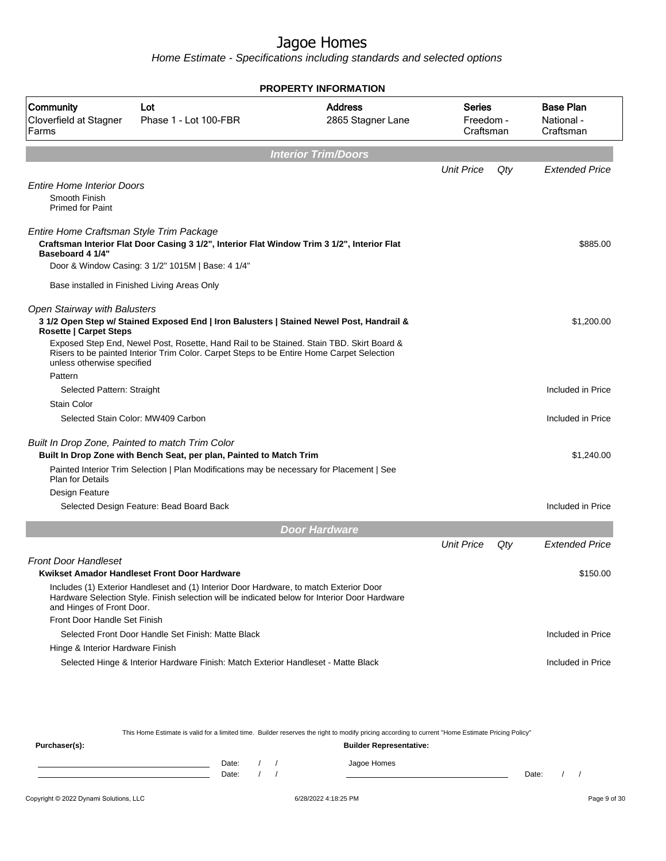Home Estimate - Specifications including standards and selected options

|                                                                               |                                                                                                                                                                                                                                                                                   | <b>PROPERTY INFORMATION</b>         |                                         |     |                                             |
|-------------------------------------------------------------------------------|-----------------------------------------------------------------------------------------------------------------------------------------------------------------------------------------------------------------------------------------------------------------------------------|-------------------------------------|-----------------------------------------|-----|---------------------------------------------|
| Community<br>Cloverfield at Stagner<br>Farms                                  | Lot<br>Phase 1 - Lot 100-FBR                                                                                                                                                                                                                                                      | <b>Address</b><br>2865 Stagner Lane | <b>Series</b><br>Freedom -<br>Craftsman |     | <b>Base Plan</b><br>National -<br>Craftsman |
|                                                                               |                                                                                                                                                                                                                                                                                   | <b>Interior Trim/Doors</b>          |                                         |     |                                             |
|                                                                               |                                                                                                                                                                                                                                                                                   |                                     | <b>Unit Price</b>                       | Qty | Extended Price                              |
| <b>Entire Home Interior Doors</b><br>Smooth Finish<br><b>Primed for Paint</b> |                                                                                                                                                                                                                                                                                   |                                     |                                         |     |                                             |
| Entire Home Craftsman Style Trim Package<br>Baseboard 4 1/4"                  | Craftsman Interior Flat Door Casing 3 1/2", Interior Flat Window Trim 3 1/2", Interior Flat                                                                                                                                                                                       |                                     |                                         |     | \$885.00                                    |
|                                                                               | Door & Window Casing: 3 1/2" 1015M   Base: 4 1/4"                                                                                                                                                                                                                                 |                                     |                                         |     |                                             |
|                                                                               | Base installed in Finished Living Areas Only                                                                                                                                                                                                                                      |                                     |                                         |     |                                             |
| Open Stairway with Balusters<br><b>Rosette   Carpet Steps</b>                 | 3 1/2 Open Step w/ Stained Exposed End   Iron Balusters   Stained Newel Post, Handrail &<br>Exposed Step End, Newel Post, Rosette, Hand Rail to be Stained. Stain TBD. Skirt Board &<br>Risers to be painted Interior Trim Color. Carpet Steps to be Entire Home Carpet Selection |                                     |                                         |     | \$1,200.00                                  |
| unless otherwise specified                                                    |                                                                                                                                                                                                                                                                                   |                                     |                                         |     |                                             |
| Pattern                                                                       |                                                                                                                                                                                                                                                                                   |                                     |                                         |     |                                             |
| Selected Pattern: Straight                                                    |                                                                                                                                                                                                                                                                                   |                                     |                                         |     | Included in Price                           |
| <b>Stain Color</b>                                                            |                                                                                                                                                                                                                                                                                   |                                     |                                         |     |                                             |
|                                                                               | Selected Stain Color: MW409 Carbon                                                                                                                                                                                                                                                |                                     |                                         |     | Included in Price                           |
| Built In Drop Zone, Painted to match Trim Color                               |                                                                                                                                                                                                                                                                                   |                                     |                                         |     |                                             |
|                                                                               | Built In Drop Zone with Bench Seat, per plan, Painted to Match Trim                                                                                                                                                                                                               |                                     |                                         |     | \$1,240.00                                  |
| <b>Plan for Details</b>                                                       | Painted Interior Trim Selection   Plan Modifications may be necessary for Placement   See                                                                                                                                                                                         |                                     |                                         |     |                                             |
| Design Feature                                                                |                                                                                                                                                                                                                                                                                   |                                     |                                         |     |                                             |
|                                                                               | Selected Design Feature: Bead Board Back                                                                                                                                                                                                                                          |                                     |                                         |     | Included in Price                           |
|                                                                               |                                                                                                                                                                                                                                                                                   | <b>Door Hardware</b>                |                                         |     |                                             |
|                                                                               |                                                                                                                                                                                                                                                                                   |                                     | <b>Unit Price</b>                       | Qty | Extended Price                              |
| Front Door Handleset                                                          |                                                                                                                                                                                                                                                                                   |                                     |                                         |     |                                             |
|                                                                               | Kwikset Amador Handleset Front Door Hardware                                                                                                                                                                                                                                      |                                     |                                         |     | \$150.00                                    |
| and Hinges of Front Door.                                                     | Includes (1) Exterior Handleset and (1) Interior Door Hardware, to match Exterior Door<br>Hardware Selection Style. Finish selection will be indicated below for Interior Door Hardware                                                                                           |                                     |                                         |     |                                             |
| Front Door Handle Set Finish                                                  |                                                                                                                                                                                                                                                                                   |                                     |                                         |     |                                             |
|                                                                               | Selected Front Door Handle Set Finish: Matte Black                                                                                                                                                                                                                                |                                     |                                         |     | Included in Price                           |
| Hinge & Interior Hardware Finish                                              |                                                                                                                                                                                                                                                                                   |                                     |                                         |     |                                             |
|                                                                               | Selected Hinge & Interior Hardware Finish: Match Exterior Handleset - Matte Black                                                                                                                                                                                                 |                                     |                                         |     | Included in Price                           |

This Home Estimate is valid for a limited time. Builder reserves the right to modify pricing according to current "Home Estimate Pricing Policy"

| Purchaser(s): |                |  | <b>Builder Representative:</b> |       |  |
|---------------|----------------|--|--------------------------------|-------|--|
|               | Date:<br>Date: |  | Jagoe Homes                    | Date: |  |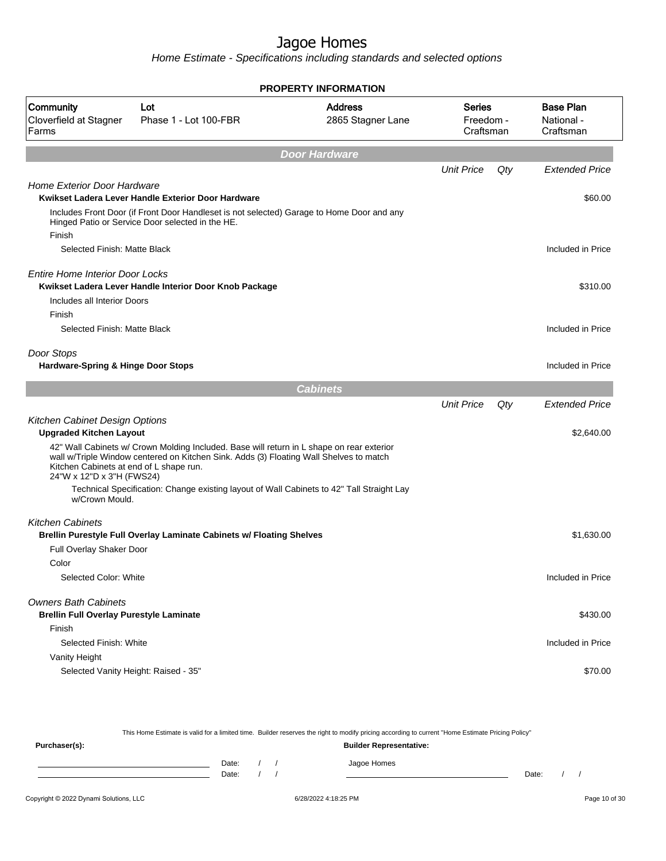**PROPERTY INFORMATION**

Home Estimate - Specifications including standards and selected options

| Community<br>Cloverfield at Stagner<br>Farms                                  | Lot<br>Phase 1 - Lot 100-FBR                                                                                                                                                        | <b>Address</b><br>2865 Stagner Lane | <b>Series</b><br>Freedom -<br>Craftsman |     | <b>Base Plan</b><br>National -<br>Craftsman |
|-------------------------------------------------------------------------------|-------------------------------------------------------------------------------------------------------------------------------------------------------------------------------------|-------------------------------------|-----------------------------------------|-----|---------------------------------------------|
|                                                                               |                                                                                                                                                                                     | <b>Door Hardware</b>                |                                         |     |                                             |
|                                                                               |                                                                                                                                                                                     |                                     | <b>Unit Price</b>                       | Qty | <b>Extended Price</b>                       |
| <b>Home Exterior Door Hardware</b>                                            | Kwikset Ladera Lever Handle Exterior Door Hardware                                                                                                                                  |                                     |                                         |     | \$60.00                                     |
| Finish                                                                        | Includes Front Door (if Front Door Handleset is not selected) Garage to Home Door and any<br>Hinged Patio or Service Door selected in the HE.                                       |                                     |                                         |     |                                             |
| Selected Finish: Matte Black                                                  |                                                                                                                                                                                     |                                     |                                         |     | Included in Price                           |
| Entire Home Interior Door Locks                                               | Kwikset Ladera Lever Handle Interior Door Knob Package                                                                                                                              |                                     |                                         |     | \$310.00                                    |
| Includes all Interior Doors<br>Finish                                         |                                                                                                                                                                                     |                                     |                                         |     |                                             |
| Selected Finish: Matte Black                                                  |                                                                                                                                                                                     |                                     |                                         |     | Included in Price                           |
| Door Stops<br><b>Hardware-Spring &amp; Hinge Door Stops</b>                   |                                                                                                                                                                                     |                                     |                                         |     | Included in Price                           |
|                                                                               |                                                                                                                                                                                     | <b>Cabinets</b>                     |                                         |     |                                             |
|                                                                               |                                                                                                                                                                                     |                                     | <b>Unit Price</b>                       | Qty | <b>Extended Price</b>                       |
| Kitchen Cabinet Design Options<br><b>Upgraded Kitchen Layout</b>              |                                                                                                                                                                                     |                                     |                                         |     | \$2,640.00                                  |
| Kitchen Cabinets at end of L shape run.<br>24"W x 12"D x 3"H (FWS24)          | 42" Wall Cabinets w/ Crown Molding Included. Base will return in L shape on rear exterior<br>wall w/Triple Window centered on Kitchen Sink. Adds (3) Floating Wall Shelves to match |                                     |                                         |     |                                             |
| w/Crown Mould.                                                                | Technical Specification: Change existing layout of Wall Cabinets to 42" Tall Straight Lay                                                                                           |                                     |                                         |     |                                             |
| <b>Kitchen Cabinets</b><br>Full Overlay Shaker Door                           | Brellin Purestyle Full Overlay Laminate Cabinets w/ Floating Shelves                                                                                                                |                                     |                                         |     | \$1,630.00                                  |
| Color<br>Selected Color: White                                                |                                                                                                                                                                                     |                                     |                                         |     | Included in Price                           |
|                                                                               |                                                                                                                                                                                     |                                     |                                         |     |                                             |
| <b>Owners Bath Cabinets</b><br><b>Brellin Full Overlay Purestyle Laminate</b> |                                                                                                                                                                                     |                                     |                                         |     | \$430.00                                    |
| Finish                                                                        |                                                                                                                                                                                     |                                     |                                         |     |                                             |
| Selected Finish: White                                                        |                                                                                                                                                                                     |                                     |                                         |     | Included in Price                           |
| Vanity Height                                                                 | Selected Vanity Height: Raised - 35"                                                                                                                                                |                                     |                                         |     | \$70.00                                     |
|                                                                               |                                                                                                                                                                                     |                                     |                                         |     |                                             |

This Home Estimate is valid for a limited time. Builder reserves the right to modify pricing according to current "Home Estimate Pricing Policy" **Purchaser(s): Builder Representative:** Date: / / Jagoe Homes<br>Date: / / Jagoe Homes Date: / / Date: / /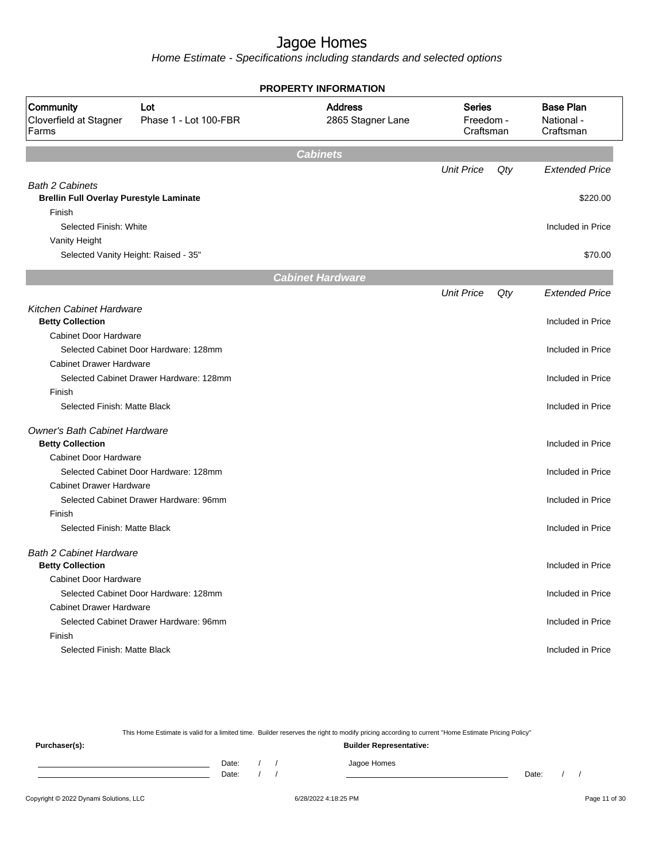Home Estimate - Specifications including standards and selected options

|                                                                          |                                         | <b>PROPERTY INFORMATION</b>         |                                         |     |                                             |
|--------------------------------------------------------------------------|-----------------------------------------|-------------------------------------|-----------------------------------------|-----|---------------------------------------------|
| Community<br>Cloverfield at Stagner<br>Farms                             | Lot<br>Phase 1 - Lot 100-FBR            | <b>Address</b><br>2865 Stagner Lane | <b>Series</b><br>Freedom -<br>Craftsman |     | <b>Base Plan</b><br>National -<br>Craftsman |
|                                                                          |                                         | <b>Cabinets</b>                     |                                         |     |                                             |
|                                                                          |                                         |                                     | <b>Unit Price</b>                       | Qty | <b>Extended Price</b>                       |
| <b>Bath 2 Cabinets</b><br><b>Brellin Full Overlay Purestyle Laminate</b> |                                         |                                     |                                         |     | \$220.00                                    |
| Finish<br>Selected Finish: White                                         |                                         |                                     |                                         |     | Included in Price                           |
| Vanity Height                                                            |                                         |                                     |                                         |     |                                             |
| Selected Vanity Height: Raised - 35"                                     |                                         |                                     |                                         |     | \$70.00                                     |
|                                                                          |                                         | <b>Cabinet Hardware</b>             |                                         |     |                                             |
|                                                                          |                                         |                                     | <b>Unit Price</b>                       | Qty | <b>Extended Price</b>                       |
| Kitchen Cabinet Hardware                                                 |                                         |                                     |                                         |     |                                             |
| <b>Betty Collection</b>                                                  |                                         |                                     |                                         |     | Included in Price                           |
| <b>Cabinet Door Hardware</b>                                             |                                         |                                     |                                         |     |                                             |
|                                                                          | Selected Cabinet Door Hardware: 128mm   |                                     |                                         |     | Included in Price                           |
| <b>Cabinet Drawer Hardware</b>                                           |                                         |                                     |                                         |     |                                             |
|                                                                          | Selected Cabinet Drawer Hardware: 128mm |                                     |                                         |     | Included in Price                           |
| Finish                                                                   |                                         |                                     |                                         |     |                                             |
| Selected Finish: Matte Black                                             |                                         |                                     |                                         |     | Included in Price                           |
| Owner's Bath Cabinet Hardware<br><b>Betty Collection</b>                 |                                         |                                     |                                         |     | Included in Price                           |
| <b>Cabinet Door Hardware</b>                                             |                                         |                                     |                                         |     |                                             |
|                                                                          | Selected Cabinet Door Hardware: 128mm   |                                     |                                         |     | Included in Price                           |
| <b>Cabinet Drawer Hardware</b>                                           |                                         |                                     |                                         |     |                                             |
|                                                                          | Selected Cabinet Drawer Hardware: 96mm  |                                     |                                         |     | Included in Price                           |
| Finish                                                                   |                                         |                                     |                                         |     |                                             |
| Selected Finish: Matte Black                                             |                                         |                                     |                                         |     | Included in Price                           |
| <b>Bath 2 Cabinet Hardware</b><br><b>Betty Collection</b>                |                                         |                                     |                                         |     | Included in Price                           |
| <b>Cabinet Door Hardware</b>                                             |                                         |                                     |                                         |     |                                             |
|                                                                          | Selected Cabinet Door Hardware: 128mm   |                                     |                                         |     | Included in Price                           |
| <b>Cabinet Drawer Hardware</b>                                           |                                         |                                     |                                         |     |                                             |
|                                                                          | Selected Cabinet Drawer Hardware: 96mm  |                                     |                                         |     | Included in Price                           |
| Finish                                                                   |                                         |                                     |                                         |     |                                             |
| Selected Finish: Matte Black                                             |                                         |                                     |                                         |     | Included in Price                           |
|                                                                          |                                         |                                     |                                         |     |                                             |

This Home Estimate is valid for a limited time. Builder reserves the right to modify pricing according to current "Home Estimate Pricing Policy"

**Purchaser(s): Builder Representative:** Date: / / Jagoe Homes<br>Date: / / Jagoe Homes Date: / / **Date: / / 2006** Date: / / / Date: / / /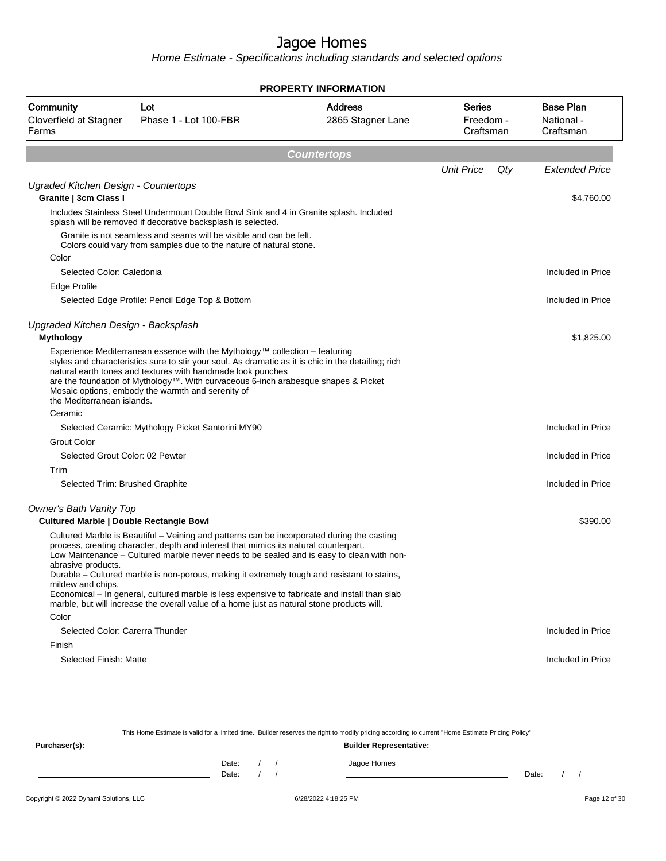Home Estimate - Specifications including standards and selected options

|                                                                           |                                                                                                                                                                                                                                                                                                                                                                                                                                                                                                                                                                               | <b>PROPERTY INFORMATION</b>         |                                         |                                             |
|---------------------------------------------------------------------------|-------------------------------------------------------------------------------------------------------------------------------------------------------------------------------------------------------------------------------------------------------------------------------------------------------------------------------------------------------------------------------------------------------------------------------------------------------------------------------------------------------------------------------------------------------------------------------|-------------------------------------|-----------------------------------------|---------------------------------------------|
| Community<br>Cloverfield at Stagner<br>Farms                              | Lot<br>Phase 1 - Lot 100-FBR                                                                                                                                                                                                                                                                                                                                                                                                                                                                                                                                                  | <b>Address</b><br>2865 Stagner Lane | <b>Series</b><br>Freedom -<br>Craftsman | <b>Base Plan</b><br>National -<br>Craftsman |
|                                                                           |                                                                                                                                                                                                                                                                                                                                                                                                                                                                                                                                                                               | <b>Countertops</b>                  |                                         |                                             |
|                                                                           |                                                                                                                                                                                                                                                                                                                                                                                                                                                                                                                                                                               |                                     | <b>Unit Price</b><br>Qty                | <b>Extended Price</b>                       |
| Ugraded Kitchen Design - Countertops<br>Granite   3cm Class I             |                                                                                                                                                                                                                                                                                                                                                                                                                                                                                                                                                                               |                                     |                                         | \$4,760.00                                  |
|                                                                           | Includes Stainless Steel Undermount Double Bowl Sink and 4 in Granite splash. Included<br>splash will be removed if decorative backsplash is selected.                                                                                                                                                                                                                                                                                                                                                                                                                        |                                     |                                         |                                             |
|                                                                           | Granite is not seamless and seams will be visible and can be felt.<br>Colors could vary from samples due to the nature of natural stone.                                                                                                                                                                                                                                                                                                                                                                                                                                      |                                     |                                         |                                             |
| Color                                                                     |                                                                                                                                                                                                                                                                                                                                                                                                                                                                                                                                                                               |                                     |                                         |                                             |
| Selected Color: Caledonia                                                 |                                                                                                                                                                                                                                                                                                                                                                                                                                                                                                                                                                               |                                     |                                         | Included in Price                           |
| Edge Profile                                                              |                                                                                                                                                                                                                                                                                                                                                                                                                                                                                                                                                                               |                                     |                                         |                                             |
|                                                                           | Selected Edge Profile: Pencil Edge Top & Bottom                                                                                                                                                                                                                                                                                                                                                                                                                                                                                                                               |                                     |                                         | Included in Price                           |
| Upgraded Kitchen Design - Backsplash                                      |                                                                                                                                                                                                                                                                                                                                                                                                                                                                                                                                                                               |                                     |                                         |                                             |
| <b>Mythology</b>                                                          |                                                                                                                                                                                                                                                                                                                                                                                                                                                                                                                                                                               |                                     |                                         | \$1,825.00                                  |
| the Mediterranean islands.                                                | Experience Mediterranean essence with the Mythology™ collection – featuring<br>styles and characteristics sure to stir your soul. As dramatic as it is chic in the detailing; rich<br>natural earth tones and textures with handmade look punches<br>are the foundation of Mythology™. With curvaceous 6-inch arabesque shapes & Picket<br>Mosaic options, embody the warmth and serenity of                                                                                                                                                                                  |                                     |                                         |                                             |
| Ceramic                                                                   |                                                                                                                                                                                                                                                                                                                                                                                                                                                                                                                                                                               |                                     |                                         |                                             |
|                                                                           | Selected Ceramic: Mythology Picket Santorini MY90                                                                                                                                                                                                                                                                                                                                                                                                                                                                                                                             |                                     |                                         | Included in Price                           |
| <b>Grout Color</b>                                                        |                                                                                                                                                                                                                                                                                                                                                                                                                                                                                                                                                                               |                                     |                                         |                                             |
| Selected Grout Color: 02 Pewter                                           |                                                                                                                                                                                                                                                                                                                                                                                                                                                                                                                                                                               |                                     |                                         | Included in Price                           |
| Trim                                                                      |                                                                                                                                                                                                                                                                                                                                                                                                                                                                                                                                                                               |                                     |                                         |                                             |
| Selected Trim: Brushed Graphite                                           |                                                                                                                                                                                                                                                                                                                                                                                                                                                                                                                                                                               |                                     |                                         | Included in Price                           |
| Owner's Bath Vanity Top<br><b>Cultured Marble   Double Rectangle Bowl</b> |                                                                                                                                                                                                                                                                                                                                                                                                                                                                                                                                                                               |                                     |                                         | \$390.00                                    |
| abrasive products.<br>mildew and chips.                                   | Cultured Marble is Beautiful – Veining and patterns can be incorporated during the casting<br>process, creating character, depth and interest that mimics its natural counterpart.<br>Low Maintenance - Cultured marble never needs to be sealed and is easy to clean with non-<br>Durable – Cultured marble is non-porous, making it extremely tough and resistant to stains,<br>Economical – In general, cultured marble is less expensive to fabricate and install than slab<br>marble, but will increase the overall value of a home just as natural stone products will. |                                     |                                         |                                             |
| Color                                                                     |                                                                                                                                                                                                                                                                                                                                                                                                                                                                                                                                                                               |                                     |                                         |                                             |
| Selected Color: Carerra Thunder                                           |                                                                                                                                                                                                                                                                                                                                                                                                                                                                                                                                                                               |                                     |                                         | Included in Price                           |
| Finish                                                                    |                                                                                                                                                                                                                                                                                                                                                                                                                                                                                                                                                                               |                                     |                                         |                                             |
| Selected Finish: Matte                                                    |                                                                                                                                                                                                                                                                                                                                                                                                                                                                                                                                                                               |                                     |                                         | Included in Price                           |

This Home Estimate is valid for a limited time. Builder reserves the right to modify pricing according to current "Home Estimate Pricing Policy" **Purchaser(s): Builder Representative:** Date: / / Jagoe Homes<br>Date: / / Jagoe Homes Date: / / Date: / /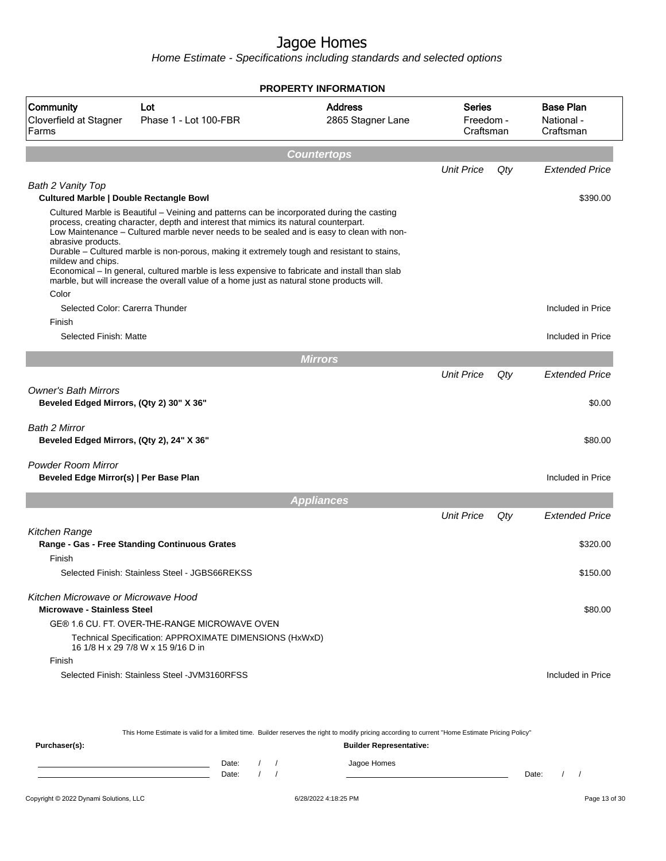Home Estimate - Specifications including standards and selected options

|                                                                                                                                       |                                                                                                                                                                                                                                                                                                                                                                                                                                                                                                                                                                               | <b>PROPERTY INFORMATION</b>         |                                         |     |                                             |
|---------------------------------------------------------------------------------------------------------------------------------------|-------------------------------------------------------------------------------------------------------------------------------------------------------------------------------------------------------------------------------------------------------------------------------------------------------------------------------------------------------------------------------------------------------------------------------------------------------------------------------------------------------------------------------------------------------------------------------|-------------------------------------|-----------------------------------------|-----|---------------------------------------------|
| Community<br>Cloverfield at Stagner<br>Farms                                                                                          | Lot<br>Phase 1 - Lot 100-FBR                                                                                                                                                                                                                                                                                                                                                                                                                                                                                                                                                  | <b>Address</b><br>2865 Stagner Lane | <b>Series</b><br>Freedom -<br>Craftsman |     | <b>Base Plan</b><br>National -<br>Craftsman |
|                                                                                                                                       |                                                                                                                                                                                                                                                                                                                                                                                                                                                                                                                                                                               | <b>Countertops</b>                  |                                         |     |                                             |
|                                                                                                                                       |                                                                                                                                                                                                                                                                                                                                                                                                                                                                                                                                                                               |                                     | <b>Unit Price</b>                       | Qty | <b>Extended Price</b>                       |
| Bath 2 Vanity Top                                                                                                                     |                                                                                                                                                                                                                                                                                                                                                                                                                                                                                                                                                                               |                                     |                                         |     |                                             |
| <b>Cultured Marble   Double Rectangle Bowl</b>                                                                                        |                                                                                                                                                                                                                                                                                                                                                                                                                                                                                                                                                                               |                                     |                                         |     | \$390.00                                    |
| abrasive products.<br>mildew and chips.                                                                                               | Cultured Marble is Beautiful – Veining and patterns can be incorporated during the casting<br>process, creating character, depth and interest that mimics its natural counterpart.<br>Low Maintenance – Cultured marble never needs to be sealed and is easy to clean with non-<br>Durable - Cultured marble is non-porous, making it extremely tough and resistant to stains,<br>Economical - In general, cultured marble is less expensive to fabricate and install than slab<br>marble, but will increase the overall value of a home just as natural stone products will. |                                     |                                         |     |                                             |
| Color<br>Selected Color: Carerra Thunder                                                                                              |                                                                                                                                                                                                                                                                                                                                                                                                                                                                                                                                                                               |                                     |                                         |     | Included in Price                           |
| Finish                                                                                                                                |                                                                                                                                                                                                                                                                                                                                                                                                                                                                                                                                                                               |                                     |                                         |     |                                             |
| Selected Finish: Matte                                                                                                                |                                                                                                                                                                                                                                                                                                                                                                                                                                                                                                                                                                               |                                     |                                         |     | Included in Price                           |
|                                                                                                                                       |                                                                                                                                                                                                                                                                                                                                                                                                                                                                                                                                                                               | <b>Mirrors</b>                      |                                         |     |                                             |
|                                                                                                                                       |                                                                                                                                                                                                                                                                                                                                                                                                                                                                                                                                                                               |                                     | <b>Unit Price</b>                       | Qty | <b>Extended Price</b>                       |
| <b>Owner's Bath Mirrors</b><br>Beveled Edged Mirrors, (Qty 2) 30" X 36"<br>Bath 2 Mirror<br>Beveled Edged Mirrors, (Qty 2), 24" X 36" |                                                                                                                                                                                                                                                                                                                                                                                                                                                                                                                                                                               |                                     |                                         |     | \$0.00<br>\$80.00                           |
| <b>Powder Room Mirror</b><br>Beveled Edge Mirror(s)   Per Base Plan                                                                   |                                                                                                                                                                                                                                                                                                                                                                                                                                                                                                                                                                               |                                     |                                         |     | Included in Price                           |
|                                                                                                                                       |                                                                                                                                                                                                                                                                                                                                                                                                                                                                                                                                                                               | <b>Appliances</b>                   |                                         |     |                                             |
|                                                                                                                                       |                                                                                                                                                                                                                                                                                                                                                                                                                                                                                                                                                                               |                                     | <b>Unit Price</b>                       | Qty | <b>Extended Price</b>                       |
| Kitchen Range                                                                                                                         |                                                                                                                                                                                                                                                                                                                                                                                                                                                                                                                                                                               |                                     |                                         |     |                                             |
|                                                                                                                                       | Range - Gas - Free Standing Continuous Grates                                                                                                                                                                                                                                                                                                                                                                                                                                                                                                                                 |                                     |                                         |     | \$320.00                                    |
| Finish                                                                                                                                | Selected Finish: Stainless Steel - JGBS66REKSS                                                                                                                                                                                                                                                                                                                                                                                                                                                                                                                                |                                     |                                         |     | \$150.00                                    |
| Kitchen Microwave or Microwave Hood<br><b>Microwave - Stainless Steel</b>                                                             | GE® 1.6 CU. FT. OVER-THE-RANGE MICROWAVE OVEN<br>Technical Specification: APPROXIMATE DIMENSIONS (HxWxD)<br>16 1/8 H x 29 7/8 W x 15 9/16 D in                                                                                                                                                                                                                                                                                                                                                                                                                                |                                     |                                         |     | \$80.00                                     |
| Finish                                                                                                                                | Selected Finish: Stainless Steel - JVM3160RFSS                                                                                                                                                                                                                                                                                                                                                                                                                                                                                                                                |                                     |                                         |     | Included in Price                           |

This Home Estimate is valid for a limited time. Builder reserves the right to modify pricing according to current "Home Estimate Pricing Policy"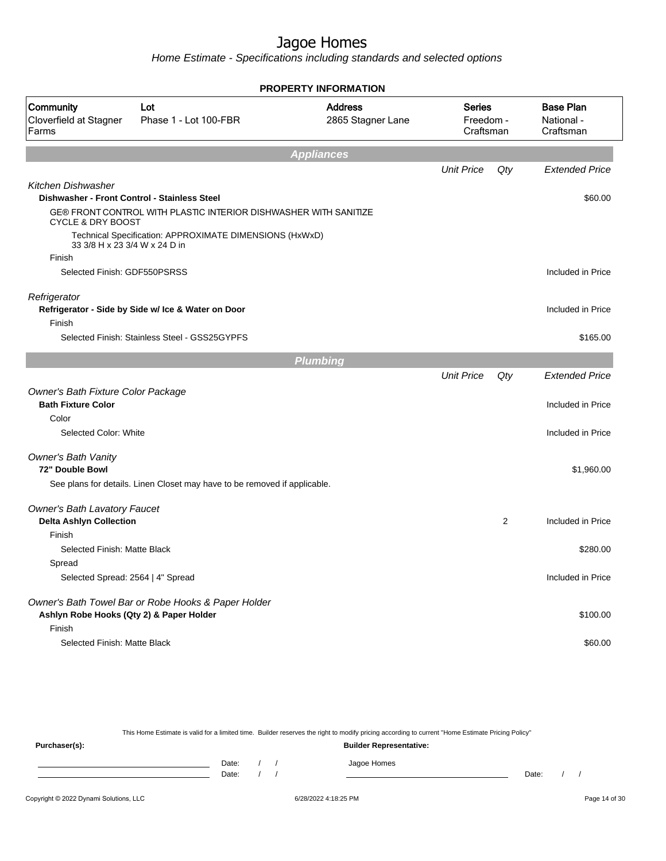Home Estimate - Specifications including standards and selected options

|                                                                    |                                                                           | <b>PROPERTY INFORMATION</b>         |                                         |                |                                             |
|--------------------------------------------------------------------|---------------------------------------------------------------------------|-------------------------------------|-----------------------------------------|----------------|---------------------------------------------|
| Community<br>Cloverfield at Stagner<br>Farms                       | Lot<br>Phase 1 - Lot 100-FBR                                              | <b>Address</b><br>2865 Stagner Lane | <b>Series</b><br>Freedom -<br>Craftsman |                | <b>Base Plan</b><br>National -<br>Craftsman |
|                                                                    |                                                                           | <b>Appliances</b>                   |                                         |                |                                             |
|                                                                    |                                                                           |                                     | <b>Unit Price</b>                       | Qty            | <b>Extended Price</b>                       |
| Kitchen Dishwasher<br>Dishwasher - Front Control - Stainless Steel |                                                                           |                                     |                                         |                | \$60.00                                     |
| <b>CYCLE &amp; DRY BOOST</b>                                       | GE® FRONT CONTROL WITH PLASTIC INTERIOR DISHWASHER WITH SANITIZE          |                                     |                                         |                |                                             |
| 33 3/8 H x 23 3/4 W x 24 D in                                      | Technical Specification: APPROXIMATE DIMENSIONS (HxWxD)                   |                                     |                                         |                |                                             |
| Finish                                                             |                                                                           |                                     |                                         |                |                                             |
| Selected Finish: GDF550PSRSS                                       |                                                                           |                                     |                                         |                | Included in Price                           |
| Refrigerator                                                       |                                                                           |                                     |                                         |                |                                             |
| Finish                                                             | Refrigerator - Side by Side w/ Ice & Water on Door                        |                                     |                                         |                | Included in Price                           |
|                                                                    | Selected Finish: Stainless Steel - GSS25GYPFS                             |                                     |                                         |                | \$165.00                                    |
|                                                                    |                                                                           | <b>Plumbing</b>                     |                                         |                |                                             |
|                                                                    |                                                                           |                                     | <b>Unit Price</b>                       | Qty            | <b>Extended Price</b>                       |
| Owner's Bath Fixture Color Package                                 |                                                                           |                                     |                                         |                |                                             |
| <b>Bath Fixture Color</b>                                          |                                                                           |                                     |                                         |                | Included in Price                           |
| Color                                                              |                                                                           |                                     |                                         |                |                                             |
| Selected Color: White                                              |                                                                           |                                     |                                         |                | Included in Price                           |
| <b>Owner's Bath Vanity</b>                                         |                                                                           |                                     |                                         |                |                                             |
| 72" Double Bowl                                                    |                                                                           |                                     |                                         |                | \$1,960.00                                  |
|                                                                    | See plans for details. Linen Closet may have to be removed if applicable. |                                     |                                         |                |                                             |
| <b>Owner's Bath Lavatory Faucet</b>                                |                                                                           |                                     |                                         |                |                                             |
| <b>Delta Ashlyn Collection</b>                                     |                                                                           |                                     |                                         | $\overline{2}$ | Included in Price                           |
| Finish                                                             |                                                                           |                                     |                                         |                |                                             |
| Selected Finish: Matte Black                                       |                                                                           |                                     |                                         |                | \$280.00                                    |
| Spread                                                             |                                                                           |                                     |                                         |                |                                             |
| Selected Spread: 2564   4" Spread                                  |                                                                           |                                     |                                         |                | Included in Price                           |
|                                                                    | Owner's Bath Towel Bar or Robe Hooks & Paper Holder                       |                                     |                                         |                |                                             |
| Ashlyn Robe Hooks (Qty 2) & Paper Holder                           |                                                                           |                                     |                                         |                | \$100.00                                    |
| Finish                                                             |                                                                           |                                     |                                         |                |                                             |
| Selected Finish: Matte Black                                       |                                                                           |                                     |                                         |                | \$60.00                                     |
|                                                                    |                                                                           |                                     |                                         |                |                                             |

This Home Estimate is valid for a limited time. Builder reserves the right to modify pricing according to current "Home Estimate Pricing Policy" **Purchaser(s): Builder Representative:** Date: / / Jagoe Homes<br>Date: / / Jagoe Homes Date: / / **Date: / / 2006** Date: / / / Date: / / /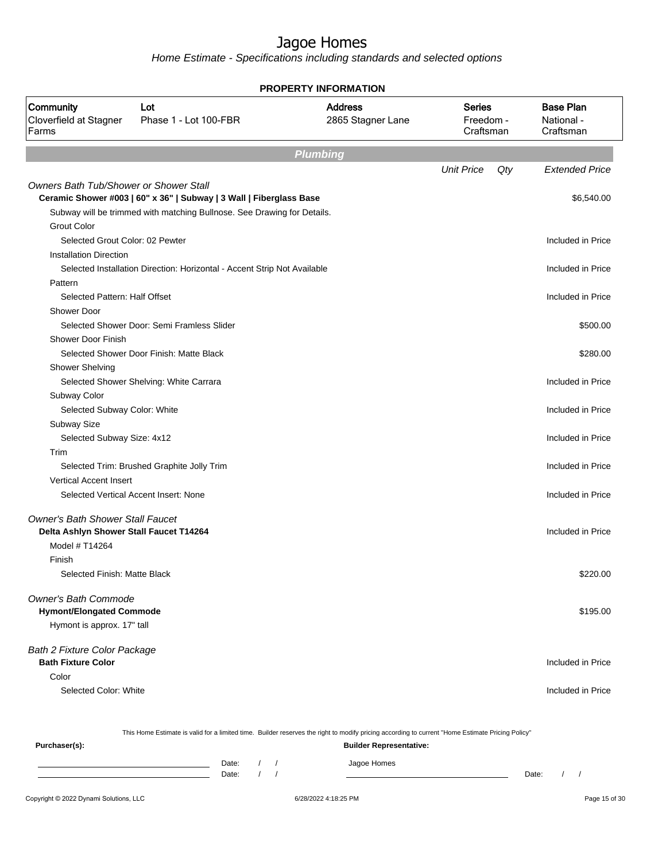Home Estimate - Specifications including standards and selected options

|                                                                                    |                                                                          | <b>PROPERTY INFORMATION</b>         |                                         |                                             |
|------------------------------------------------------------------------------------|--------------------------------------------------------------------------|-------------------------------------|-----------------------------------------|---------------------------------------------|
| Community<br>Cloverfield at Stagner<br>Farms                                       | Lot<br>Phase 1 - Lot 100-FBR                                             | <b>Address</b><br>2865 Stagner Lane | <b>Series</b><br>Freedom -<br>Craftsman | <b>Base Plan</b><br>National -<br>Craftsman |
|                                                                                    |                                                                          | <b>Plumbing</b>                     |                                         |                                             |
|                                                                                    |                                                                          |                                     | <b>Unit Price</b><br>$Q$ ty             | <b>Extended Price</b>                       |
| <b>Owners Bath Tub/Shower or Shower Stall</b>                                      |                                                                          |                                     |                                         |                                             |
|                                                                                    | Ceramic Shower #003   60" x 36"   Subway   3 Wall   Fiberglass Base      |                                     |                                         | \$6,540.00                                  |
|                                                                                    | Subway will be trimmed with matching Bullnose. See Drawing for Details.  |                                     |                                         |                                             |
| <b>Grout Color</b>                                                                 |                                                                          |                                     |                                         |                                             |
| Selected Grout Color: 02 Pewter                                                    |                                                                          |                                     |                                         | Included in Price                           |
| <b>Installation Direction</b>                                                      |                                                                          |                                     |                                         |                                             |
|                                                                                    | Selected Installation Direction: Horizontal - Accent Strip Not Available |                                     |                                         | Included in Price                           |
| Pattern                                                                            |                                                                          |                                     |                                         |                                             |
| Selected Pattern: Half Offset                                                      |                                                                          |                                     |                                         | Included in Price                           |
| <b>Shower Door</b>                                                                 |                                                                          |                                     |                                         |                                             |
| <b>Shower Door Finish</b>                                                          | Selected Shower Door: Semi Framless Slider                               |                                     |                                         | \$500.00                                    |
|                                                                                    | Selected Shower Door Finish: Matte Black                                 |                                     |                                         | \$280.00                                    |
| Shower Shelving                                                                    |                                                                          |                                     |                                         |                                             |
|                                                                                    | Selected Shower Shelving: White Carrara                                  |                                     |                                         | Included in Price                           |
| Subway Color                                                                       |                                                                          |                                     |                                         |                                             |
| Selected Subway Color: White                                                       |                                                                          |                                     |                                         | Included in Price                           |
| Subway Size                                                                        |                                                                          |                                     |                                         |                                             |
| Selected Subway Size: 4x12                                                         |                                                                          |                                     |                                         | Included in Price                           |
| Trim                                                                               |                                                                          |                                     |                                         |                                             |
|                                                                                    | Selected Trim: Brushed Graphite Jolly Trim                               |                                     |                                         | Included in Price                           |
| <b>Vertical Accent Insert</b>                                                      |                                                                          |                                     |                                         |                                             |
|                                                                                    | Selected Vertical Accent Insert: None                                    |                                     |                                         | Included in Price                           |
|                                                                                    |                                                                          |                                     |                                         |                                             |
| <b>Owner's Bath Shower Stall Faucet</b><br>Delta Ashlyn Shower Stall Faucet T14264 |                                                                          |                                     |                                         | Included in Price                           |
| Model # T14264                                                                     |                                                                          |                                     |                                         |                                             |
| Finish                                                                             |                                                                          |                                     |                                         |                                             |
| Selected Finish: Matte Black                                                       |                                                                          |                                     |                                         | \$220.00                                    |
| <b>Owner's Bath Commode</b>                                                        |                                                                          |                                     |                                         |                                             |
| <b>Hymont/Elongated Commode</b>                                                    |                                                                          |                                     |                                         | \$195.00                                    |
| Hymont is approx. 17" tall                                                         |                                                                          |                                     |                                         |                                             |
| <b>Bath 2 Fixture Color Package</b>                                                |                                                                          |                                     |                                         |                                             |
| <b>Bath Fixture Color</b>                                                          |                                                                          |                                     |                                         | Included in Price                           |
| Color                                                                              |                                                                          |                                     |                                         |                                             |
| Selected Color: White                                                              |                                                                          |                                     |                                         | Included in Price                           |
|                                                                                    |                                                                          |                                     |                                         |                                             |

This Home Estimate is valid for a limited time. Builder reserves the right to modify pricing according to current "Home Estimate Pricing Policy" **Purchaser(s): Builder Representative:** Date: / / Jagoe Homes<br>Date: / / Jagoe Homes Date: / / **Date: / / 2006** Date: / / / Date: / / /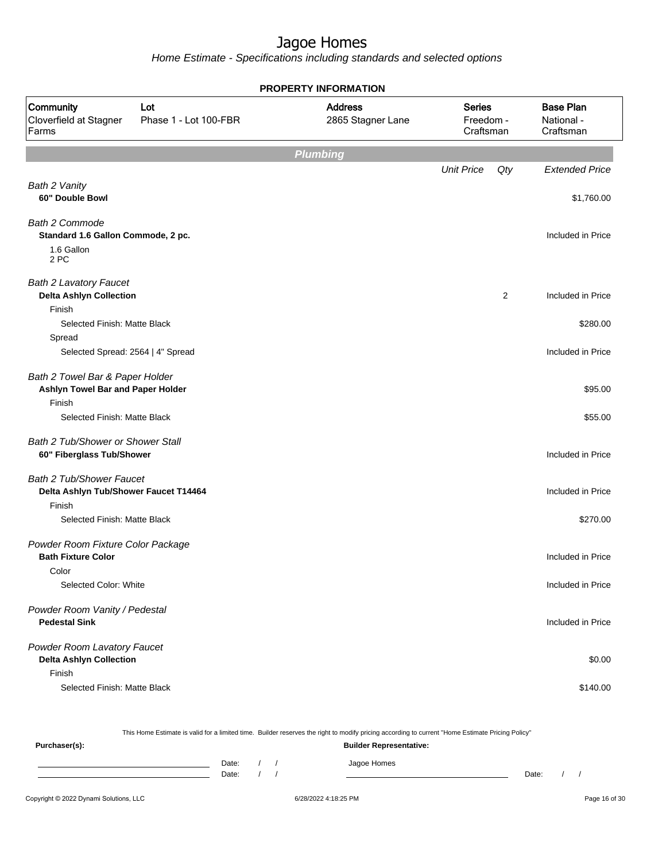Home Estimate - Specifications including standards and selected options

|                                                                      |                              | <b>PROPERTY INFORMATION</b>         |                                         |     |                                             |
|----------------------------------------------------------------------|------------------------------|-------------------------------------|-----------------------------------------|-----|---------------------------------------------|
| Community<br>Cloverfield at Stagner<br>Farms                         | Lot<br>Phase 1 - Lot 100-FBR | <b>Address</b><br>2865 Stagner Lane | <b>Series</b><br>Freedom -<br>Craftsman |     | <b>Base Plan</b><br>National -<br>Craftsman |
|                                                                      |                              | <b>Plumbing</b>                     |                                         |     |                                             |
|                                                                      |                              |                                     | <b>Unit Price</b>                       | Qty | <b>Extended Price</b>                       |
| Bath 2 Vanity                                                        |                              |                                     |                                         |     |                                             |
| 60" Double Bowl                                                      |                              |                                     |                                         |     | \$1,760.00                                  |
| <b>Bath 2 Commode</b><br>Standard 1.6 Gallon Commode, 2 pc.          |                              |                                     |                                         |     | Included in Price                           |
| 1.6 Gallon<br>2 PC                                                   |                              |                                     |                                         |     |                                             |
| <b>Bath 2 Lavatory Faucet</b><br><b>Delta Ashlyn Collection</b>      |                              |                                     |                                         | 2   | Included in Price                           |
| Finish                                                               |                              |                                     |                                         |     |                                             |
| Selected Finish: Matte Black                                         |                              |                                     |                                         |     | \$280.00                                    |
| Spread                                                               |                              |                                     |                                         |     |                                             |
| Selected Spread: 2564   4" Spread                                    |                              |                                     |                                         |     | Included in Price                           |
| Bath 2 Towel Bar & Paper Holder<br>Ashlyn Towel Bar and Paper Holder |                              |                                     |                                         |     | \$95.00                                     |
| Finish<br>Selected Finish: Matte Black                               |                              |                                     |                                         |     | \$55.00                                     |
| Bath 2 Tub/Shower or Shower Stall                                    |                              |                                     |                                         |     |                                             |
| 60" Fiberglass Tub/Shower                                            |                              |                                     |                                         |     | Included in Price                           |
| Bath 2 Tub/Shower Faucet<br>Delta Ashlyn Tub/Shower Faucet T14464    |                              |                                     |                                         |     | Included in Price                           |
| Finish                                                               |                              |                                     |                                         |     |                                             |
| Selected Finish: Matte Black                                         |                              |                                     |                                         |     | \$270.00                                    |
| Powder Room Fixture Color Package<br><b>Bath Fixture Color</b>       |                              |                                     |                                         |     | Included in Price                           |
| Color                                                                |                              |                                     |                                         |     |                                             |
| Selected Color: White                                                |                              |                                     |                                         |     | Included in Price                           |
| Powder Room Vanity / Pedestal<br><b>Pedestal Sink</b>                |                              |                                     |                                         |     | Included in Price                           |
| Powder Room Lavatory Faucet<br><b>Delta Ashlyn Collection</b>        |                              |                                     |                                         |     | \$0.00                                      |
| Finish                                                               |                              |                                     |                                         |     |                                             |
| Selected Finish: Matte Black                                         |                              |                                     |                                         |     | \$140.00                                    |

This Home Estimate is valid for a limited time. Builder reserves the right to modify pricing according to current "Home Estimate Pricing Policy" **Purchaser(s): Builder Representative:** Date: / / Jagoe Homes<br>Date: / / Jagoe Homes Date: / / Date: / /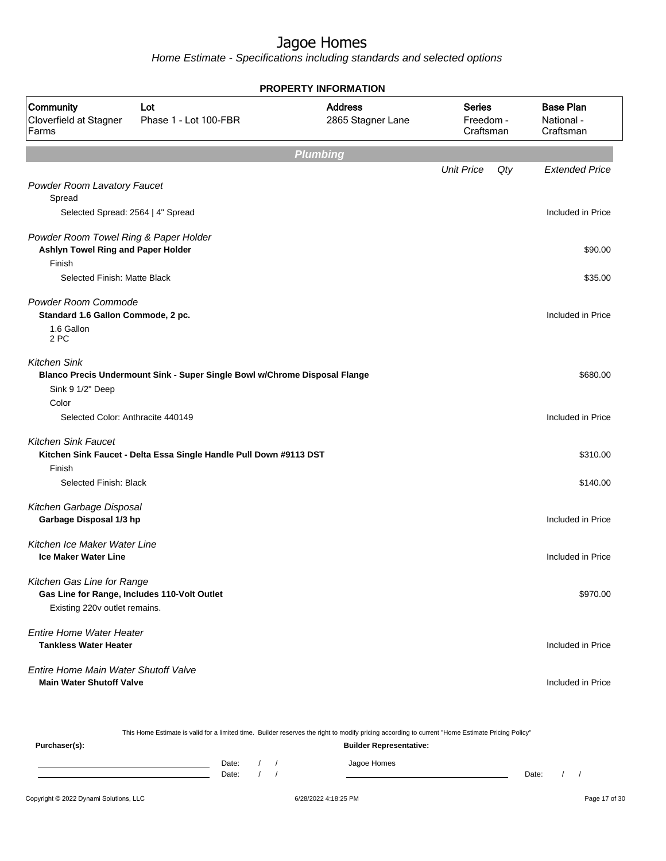Home Estimate - Specifications including standards and selected options

|                                                                             |                                                                            | <b>PROPERTY INFORMATION</b>         |                                         |     |                                             |
|-----------------------------------------------------------------------------|----------------------------------------------------------------------------|-------------------------------------|-----------------------------------------|-----|---------------------------------------------|
| Community<br>Cloverfield at Stagner<br>Farms                                | Lot<br>Phase 1 - Lot 100-FBR                                               | <b>Address</b><br>2865 Stagner Lane | <b>Series</b><br>Freedom -<br>Craftsman |     | <b>Base Plan</b><br>National -<br>Craftsman |
|                                                                             |                                                                            | <b>Plumbing</b>                     |                                         |     |                                             |
|                                                                             |                                                                            |                                     | <b>Unit Price</b>                       | Qty | <b>Extended Price</b>                       |
| Powder Room Lavatory Faucet                                                 |                                                                            |                                     |                                         |     |                                             |
| Spread                                                                      |                                                                            |                                     |                                         |     |                                             |
| Selected Spread: 2564   4" Spread                                           |                                                                            |                                     |                                         |     | Included in Price                           |
| Powder Room Towel Ring & Paper Holder<br>Ashlyn Towel Ring and Paper Holder |                                                                            |                                     |                                         |     | \$90.00                                     |
| Finish                                                                      |                                                                            |                                     |                                         |     |                                             |
| Selected Finish: Matte Black                                                |                                                                            |                                     |                                         |     | \$35.00                                     |
| Powder Room Commode<br>Standard 1.6 Gallon Commode, 2 pc.                   |                                                                            |                                     |                                         |     | Included in Price                           |
| 1.6 Gallon<br>2 PC                                                          |                                                                            |                                     |                                         |     |                                             |
| <b>Kitchen Sink</b>                                                         | Blanco Precis Undermount Sink - Super Single Bowl w/Chrome Disposal Flange |                                     |                                         |     | \$680.00                                    |
| Sink 9 1/2" Deep                                                            |                                                                            |                                     |                                         |     |                                             |
| Color                                                                       |                                                                            |                                     |                                         |     |                                             |
| Selected Color: Anthracite 440149                                           |                                                                            |                                     |                                         |     | Included in Price                           |
| <b>Kitchen Sink Faucet</b>                                                  |                                                                            |                                     |                                         |     |                                             |
|                                                                             | Kitchen Sink Faucet - Delta Essa Single Handle Pull Down #9113 DST         |                                     |                                         |     | \$310.00                                    |
| Finish                                                                      |                                                                            |                                     |                                         |     |                                             |
| Selected Finish: Black                                                      |                                                                            |                                     |                                         |     | \$140.00                                    |
| Kitchen Garbage Disposal                                                    |                                                                            |                                     |                                         |     |                                             |
| Garbage Disposal 1/3 hp                                                     |                                                                            |                                     |                                         |     | Included in Price                           |
|                                                                             |                                                                            |                                     |                                         |     |                                             |
| Kitchen Ice Maker Water Line<br><b>Ice Maker Water Line</b>                 |                                                                            |                                     |                                         |     | Included in Price                           |
| Kitchen Gas Line for Range                                                  |                                                                            |                                     |                                         |     |                                             |
| Gas Line for Range, Includes 110-Volt Outlet                                |                                                                            |                                     |                                         |     | \$970.00                                    |
| Existing 220v outlet remains.                                               |                                                                            |                                     |                                         |     |                                             |
| <b>Entire Home Water Heater</b><br><b>Tankless Water Heater</b>             |                                                                            |                                     |                                         |     | Included in Price                           |
|                                                                             |                                                                            |                                     |                                         |     |                                             |
| Entire Home Main Water Shutoff Valve                                        |                                                                            |                                     |                                         |     |                                             |
| <b>Main Water Shutoff Valve</b>                                             |                                                                            |                                     |                                         |     | Included in Price                           |
|                                                                             |                                                                            |                                     |                                         |     |                                             |

|               |       |  | This Home Estimate is valid for a limited time. Builder reserves the right to modify pricing according to current "Home Estimate Pricing Policy" |       |  |
|---------------|-------|--|--------------------------------------------------------------------------------------------------------------------------------------------------|-------|--|
| Purchaser(s): |       |  | <b>Builder Representative:</b>                                                                                                                   |       |  |
|               | Date: |  | Jagoe Homes                                                                                                                                      |       |  |
|               | Date: |  |                                                                                                                                                  | Date: |  |
|               |       |  |                                                                                                                                                  |       |  |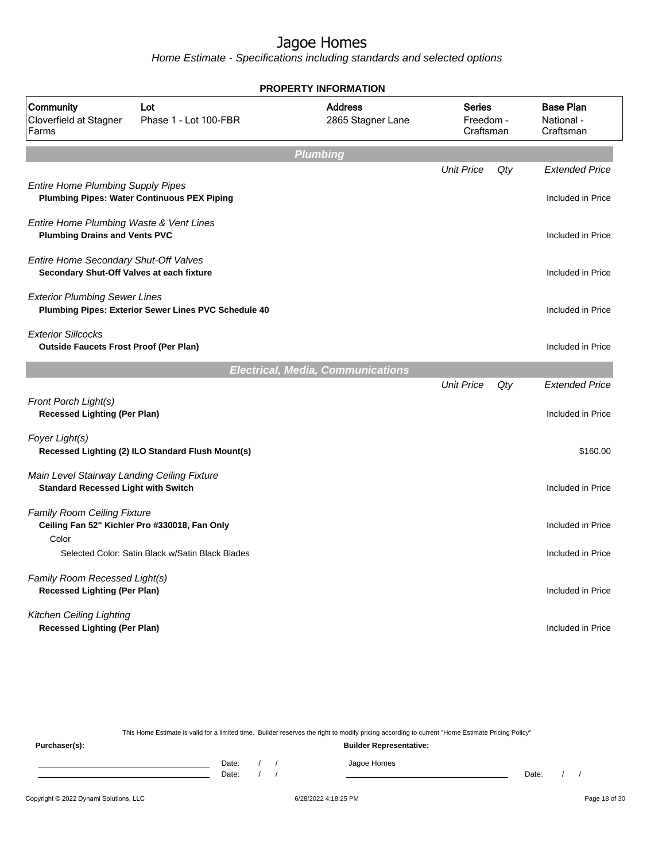Home Estimate - Specifications including standards and selected options

| <b>PROPERTY INFORMATION</b>                                                                    |                                                      |                                          |                                         |     |                                             |  |  |
|------------------------------------------------------------------------------------------------|------------------------------------------------------|------------------------------------------|-----------------------------------------|-----|---------------------------------------------|--|--|
| Community<br>Cloverfield at Stagner<br>Farms                                                   | Lot<br>Phase 1 - Lot 100-FBR                         | <b>Address</b><br>2865 Stagner Lane      | <b>Series</b><br>Freedom -<br>Craftsman |     | <b>Base Plan</b><br>National -<br>Craftsman |  |  |
|                                                                                                |                                                      | <b>Plumbing</b>                          |                                         |     |                                             |  |  |
| <b>Entire Home Plumbing Supply Pipes</b><br><b>Plumbing Pipes: Water Continuous PEX Piping</b> |                                                      |                                          | <b>Unit Price</b>                       | Qty | <b>Extended Price</b><br>Included in Price  |  |  |
| Entire Home Plumbing Waste & Vent Lines<br><b>Plumbing Drains and Vents PVC</b>                |                                                      |                                          |                                         |     | Included in Price                           |  |  |
| Entire Home Secondary Shut-Off Valves<br>Secondary Shut-Off Valves at each fixture             |                                                      |                                          |                                         |     | Included in Price                           |  |  |
| <b>Exterior Plumbing Sewer Lines</b>                                                           | Plumbing Pipes: Exterior Sewer Lines PVC Schedule 40 |                                          |                                         |     | Included in Price                           |  |  |
| <b>Exterior Sillcocks</b>                                                                      |                                                      |                                          |                                         |     |                                             |  |  |
| <b>Outside Faucets Frost Proof (Per Plan)</b>                                                  |                                                      |                                          |                                         |     | Included in Price                           |  |  |
|                                                                                                |                                                      |                                          |                                         |     |                                             |  |  |
| Front Porch Light(s)<br><b>Recessed Lighting (Per Plan)</b>                                    |                                                      |                                          |                                         |     | Included in Price                           |  |  |
| Foyer Light(s)                                                                                 | Recessed Lighting (2) ILO Standard Flush Mount(s)    |                                          |                                         |     | \$160.00                                    |  |  |
| Main Level Stairway Landing Ceiling Fixture<br><b>Standard Recessed Light with Switch</b>      |                                                      |                                          |                                         |     | Included in Price                           |  |  |
| <b>Family Room Ceiling Fixture</b><br>Ceiling Fan 52" Kichler Pro #330018, Fan Only            |                                                      |                                          |                                         |     | Included in Price                           |  |  |
|                                                                                                | Selected Color: Satin Black w/Satin Black Blades     |                                          |                                         |     | Included in Price                           |  |  |
| Family Room Recessed Light(s)<br><b>Recessed Lighting (Per Plan)</b>                           |                                                      |                                          |                                         |     | Included in Price                           |  |  |
| Kitchen Ceiling Lighting<br><b>Recessed Lighting (Per Plan)</b>                                |                                                      |                                          |                                         |     | Included in Price                           |  |  |
| Color                                                                                          |                                                      | <b>Electrical, Media, Communications</b> | <b>Unit Price</b>                       | Qty | <b>Extended Price</b>                       |  |  |

This Home Estimate is valid for a limited time. Builder reserves the right to modify pricing according to current "Home Estimate Pricing Policy"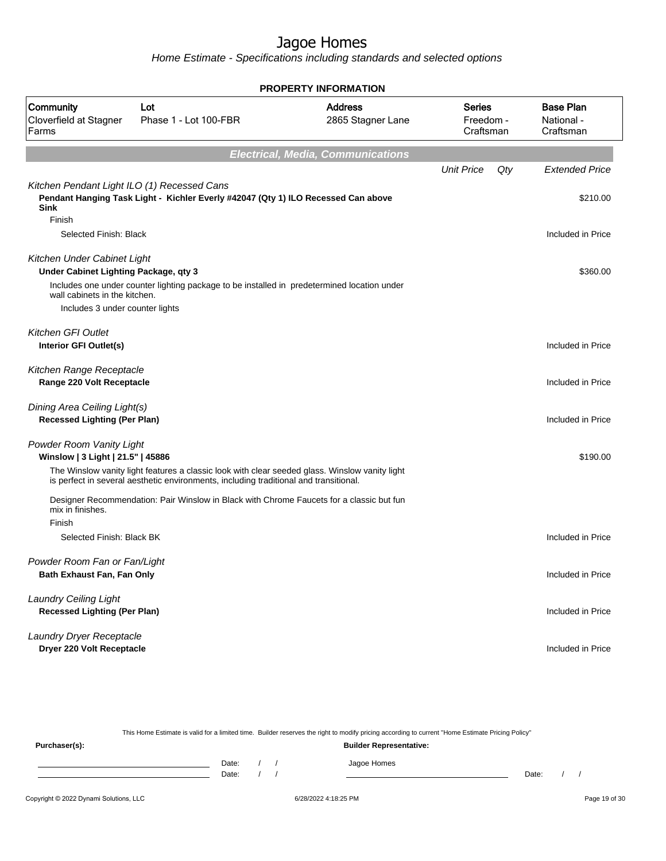Home Estimate - Specifications including standards and selected options

| <b>PROPERTY INFORMATION</b>                                          |                                                                                                                                                                                         |                                          |                                         |                                             |  |  |
|----------------------------------------------------------------------|-----------------------------------------------------------------------------------------------------------------------------------------------------------------------------------------|------------------------------------------|-----------------------------------------|---------------------------------------------|--|--|
| Community<br>Cloverfield at Stagner<br>Farms                         | Lot<br>Phase 1 - Lot 100-FBR                                                                                                                                                            | <b>Address</b><br>2865 Stagner Lane      | <b>Series</b><br>Freedom -<br>Craftsman | <b>Base Plan</b><br>National -<br>Craftsman |  |  |
|                                                                      |                                                                                                                                                                                         | <b>Electrical, Media, Communications</b> |                                         |                                             |  |  |
| Kitchen Pendant Light ILO (1) Recessed Cans                          |                                                                                                                                                                                         |                                          | <b>Unit Price</b><br>Qty                | <b>Extended Price</b>                       |  |  |
| <b>Sink</b><br>Finish                                                | Pendant Hanging Task Light - Kichler Everly #42047 (Qty 1) ILO Recessed Can above                                                                                                       |                                          |                                         | \$210.00                                    |  |  |
| Selected Finish: Black                                               |                                                                                                                                                                                         |                                          |                                         | Included in Price                           |  |  |
| Kitchen Under Cabinet Light<br>Under Cabinet Lighting Package, qty 3 |                                                                                                                                                                                         |                                          |                                         | \$360.00                                    |  |  |
| wall cabinets in the kitchen.<br>Includes 3 under counter lights     | Includes one under counter lighting package to be installed in predetermined location under                                                                                             |                                          |                                         |                                             |  |  |
| <b>Kitchen GFI Outlet</b>                                            |                                                                                                                                                                                         |                                          |                                         |                                             |  |  |
| Interior GFI Outlet(s)                                               |                                                                                                                                                                                         |                                          |                                         | Included in Price                           |  |  |
| Kitchen Range Receptacle<br>Range 220 Volt Receptacle                |                                                                                                                                                                                         |                                          |                                         | Included in Price                           |  |  |
| Dining Area Ceiling Light(s)<br><b>Recessed Lighting (Per Plan)</b>  |                                                                                                                                                                                         |                                          |                                         | Included in Price                           |  |  |
| Powder Room Vanity Light<br>Winslow   3 Light   21.5"   45886        |                                                                                                                                                                                         |                                          |                                         | \$190.00                                    |  |  |
|                                                                      | The Winslow vanity light features a classic look with clear seeded glass. Winslow vanity light<br>is perfect in several aesthetic environments, including traditional and transitional. |                                          |                                         |                                             |  |  |
| mix in finishes.                                                     | Designer Recommendation: Pair Winslow in Black with Chrome Faucets for a classic but fun                                                                                                |                                          |                                         |                                             |  |  |
| Finish<br>Selected Finish: Black BK                                  |                                                                                                                                                                                         |                                          |                                         | Included in Price                           |  |  |
| Powder Room Fan or Fan/Light<br>Bath Exhaust Fan, Fan Only           |                                                                                                                                                                                         |                                          |                                         | Included in Price                           |  |  |
| <b>Laundry Ceiling Light</b><br><b>Recessed Lighting (Per Plan)</b>  |                                                                                                                                                                                         |                                          |                                         | Included in Price                           |  |  |
| Laundry Dryer Receptacle<br>Dryer 220 Volt Receptacle                |                                                                                                                                                                                         |                                          |                                         | Included in Price                           |  |  |

This Home Estimate is valid for a limited time. Builder reserves the right to modify pricing according to current "Home Estimate Pricing Policy"

| Purchaser(s): |                |  | <b>Builder Representative:</b> |       |  |  |
|---------------|----------------|--|--------------------------------|-------|--|--|
|               | Date:<br>Date: |  | Jagoe Homes                    | Date: |  |  |
|               |                |  |                                |       |  |  |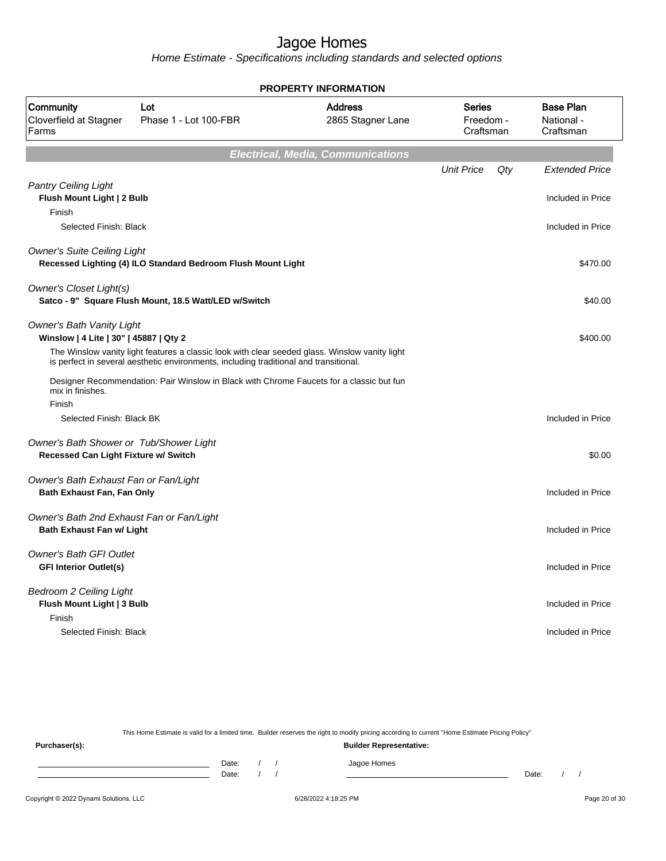Home Estimate - Specifications including standards and selected options

|                                                                               |                                                                                                                                                                                         | <b>LITT IN VINILATION</b>                |                                         |     |                                             |
|-------------------------------------------------------------------------------|-----------------------------------------------------------------------------------------------------------------------------------------------------------------------------------------|------------------------------------------|-----------------------------------------|-----|---------------------------------------------|
| Community<br>Cloverfield at Stagner<br>Farms                                  | Lot<br>Phase 1 - Lot 100-FBR                                                                                                                                                            | <b>Address</b><br>2865 Stagner Lane      | <b>Series</b><br>Freedom -<br>Craftsman |     | <b>Base Plan</b><br>National -<br>Craftsman |
|                                                                               |                                                                                                                                                                                         | <b>Electrical, Media, Communications</b> |                                         |     |                                             |
|                                                                               |                                                                                                                                                                                         |                                          | <b>Unit Price</b>                       | Qty | <b>Extended Price</b>                       |
| Pantry Ceiling Light<br>Flush Mount Light   2 Bulb<br>Finish                  |                                                                                                                                                                                         |                                          |                                         |     | Included in Price                           |
| Selected Finish: Black                                                        |                                                                                                                                                                                         |                                          |                                         |     | Included in Price                           |
| <b>Owner's Suite Ceiling Light</b>                                            | Recessed Lighting (4) ILO Standard Bedroom Flush Mount Light                                                                                                                            |                                          |                                         |     | \$470.00                                    |
| Owner's Closet Light(s)                                                       | Satco - 9" Square Flush Mount, 18.5 Watt/LED w/Switch                                                                                                                                   |                                          |                                         |     | \$40.00                                     |
| <b>Owner's Bath Vanity Light</b><br>Winslow   4 Lite   30"   45887   Qty 2    |                                                                                                                                                                                         |                                          |                                         |     | \$400.00                                    |
|                                                                               | The Winslow vanity light features a classic look with clear seeded glass. Winslow vanity light<br>is perfect in several aesthetic environments, including traditional and transitional. |                                          |                                         |     |                                             |
| mix in finishes.                                                              | Designer Recommendation: Pair Winslow in Black with Chrome Faucets for a classic but fun                                                                                                |                                          |                                         |     |                                             |
| Finish                                                                        |                                                                                                                                                                                         |                                          |                                         |     |                                             |
| Selected Finish: Black BK                                                     |                                                                                                                                                                                         |                                          |                                         |     | Included in Price                           |
| Owner's Bath Shower or Tub/Shower Light                                       |                                                                                                                                                                                         |                                          |                                         |     |                                             |
| Recessed Can Light Fixture w/ Switch                                          |                                                                                                                                                                                         |                                          |                                         |     | \$0.00                                      |
| Owner's Bath Exhaust Fan or Fan/Light                                         |                                                                                                                                                                                         |                                          |                                         |     |                                             |
| <b>Bath Exhaust Fan, Fan Only</b>                                             |                                                                                                                                                                                         |                                          |                                         |     | Included in Price                           |
| Owner's Bath 2nd Exhaust Fan or Fan/Light<br><b>Bath Exhaust Fan w/ Light</b> |                                                                                                                                                                                         |                                          |                                         |     | Included in Price                           |
| <b>Owner's Bath GFI Outlet</b><br><b>GFI Interior Outlet(s)</b>               |                                                                                                                                                                                         |                                          |                                         |     | Included in Price                           |
| <b>Bedroom 2 Ceiling Light</b><br>Flush Mount Light   3 Bulb                  |                                                                                                                                                                                         |                                          |                                         |     | Included in Price                           |
| Finish<br>Selected Finish: Black                                              |                                                                                                                                                                                         |                                          |                                         |     | Included in Price                           |
|                                                                               |                                                                                                                                                                                         |                                          |                                         |     |                                             |

#### **PROPERTY INFORMATION**

This Home Estimate is valid for a limited time. Builder reserves the right to modify pricing according to current "Home Estimate Pricing Policy" **Purchaser(s): Builder Representative:**

Date: / / Jagoe Homes<br>Date: / / Jagoe Homes Date: / / Date: / /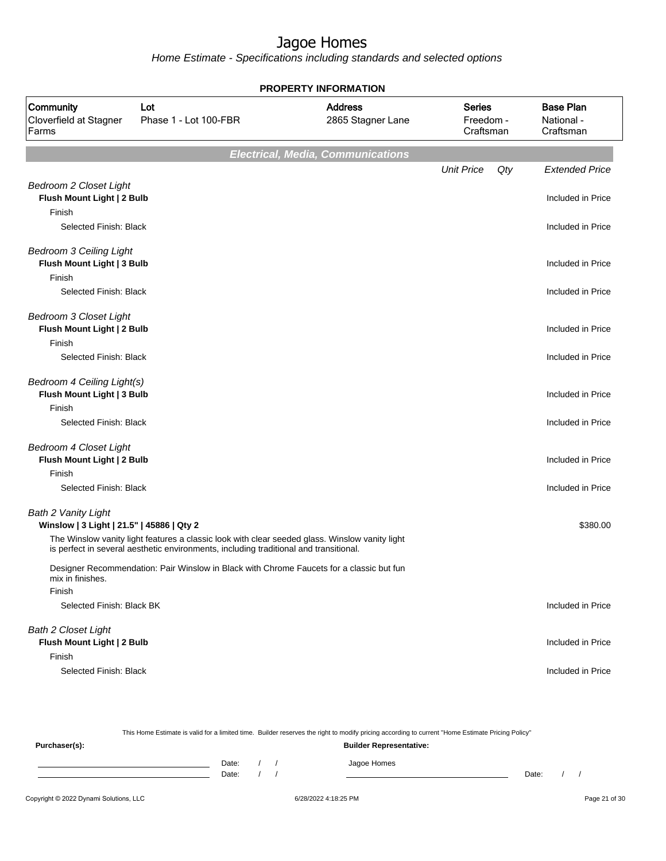Home Estimate - Specifications including standards and selected options

| Community<br>Cloverfield at Stagner<br>Farms                            | Lot<br>Phase 1 - Lot 100-FBR                                                                   | <b>Address</b><br>2865 Stagner Lane      | <b>Series</b><br>Freedom -<br>Craftsman | <b>Base Plan</b><br>National -<br>Craftsman |
|-------------------------------------------------------------------------|------------------------------------------------------------------------------------------------|------------------------------------------|-----------------------------------------|---------------------------------------------|
|                                                                         |                                                                                                | <b>Electrical, Media, Communications</b> |                                         |                                             |
|                                                                         |                                                                                                |                                          | <b>Unit Price</b><br>Qty                | <b>Extended Price</b>                       |
| <b>Bedroom 2 Closet Light</b><br>Flush Mount Light   2 Bulb             |                                                                                                |                                          |                                         | Included in Price                           |
| Finish<br>Selected Finish: Black                                        |                                                                                                |                                          |                                         | Included in Price                           |
| <b>Bedroom 3 Ceiling Light</b><br>Flush Mount Light   3 Bulb            |                                                                                                |                                          |                                         | Included in Price                           |
| Finish<br>Selected Finish: Black                                        |                                                                                                |                                          |                                         | Included in Price                           |
| <b>Bedroom 3 Closet Light</b><br>Flush Mount Light   2 Bulb<br>Finish   |                                                                                                |                                          |                                         | Included in Price                           |
| Selected Finish: Black                                                  |                                                                                                |                                          |                                         | Included in Price                           |
| Bedroom 4 Ceiling Light(s)<br>Flush Mount Light   3 Bulb                |                                                                                                |                                          |                                         | Included in Price                           |
| Finish<br>Selected Finish: Black                                        |                                                                                                |                                          |                                         | Included in Price                           |
| <b>Bedroom 4 Closet Light</b><br>Flush Mount Light   2 Bulb             |                                                                                                |                                          |                                         | Included in Price                           |
| Finish<br>Selected Finish: Black                                        |                                                                                                |                                          |                                         | Included in Price                           |
| <b>Bath 2 Vanity Light</b><br>Winslow   3 Light   21.5"   45886   Qty 2 | The Winslow vanity light features a classic look with clear seeded glass. Winslow vanity light |                                          |                                         | \$380.00                                    |
|                                                                         | is perfect in several aesthetic environments, including traditional and transitional.          |                                          |                                         |                                             |
| mix in finishes.<br>Finish                                              | Designer Recommendation: Pair Winslow in Black with Chrome Faucets for a classic but fun       |                                          |                                         |                                             |
| Selected Finish: Black BK                                               |                                                                                                |                                          |                                         | Included in Price                           |
| <b>Bath 2 Closet Light</b><br>Flush Mount Light   2 Bulb                |                                                                                                |                                          |                                         | Included in Price                           |
| Finish<br>Selected Finish: Black                                        |                                                                                                |                                          |                                         | Included in Price                           |

#### **PROPERTY INFORMATION**

| This Home Estimate is valid for a limited time. Builder reserves the right to modify pricing according to current "Home Estimate Pricing Policy" |       |  |  |  |                                |       |  |  |
|--------------------------------------------------------------------------------------------------------------------------------------------------|-------|--|--|--|--------------------------------|-------|--|--|
| Purchaser(s):                                                                                                                                    |       |  |  |  | <b>Builder Representative:</b> |       |  |  |
|                                                                                                                                                  | Date: |  |  |  | Jagoe Homes                    |       |  |  |
|                                                                                                                                                  | Date: |  |  |  |                                | Date: |  |  |
|                                                                                                                                                  |       |  |  |  |                                |       |  |  |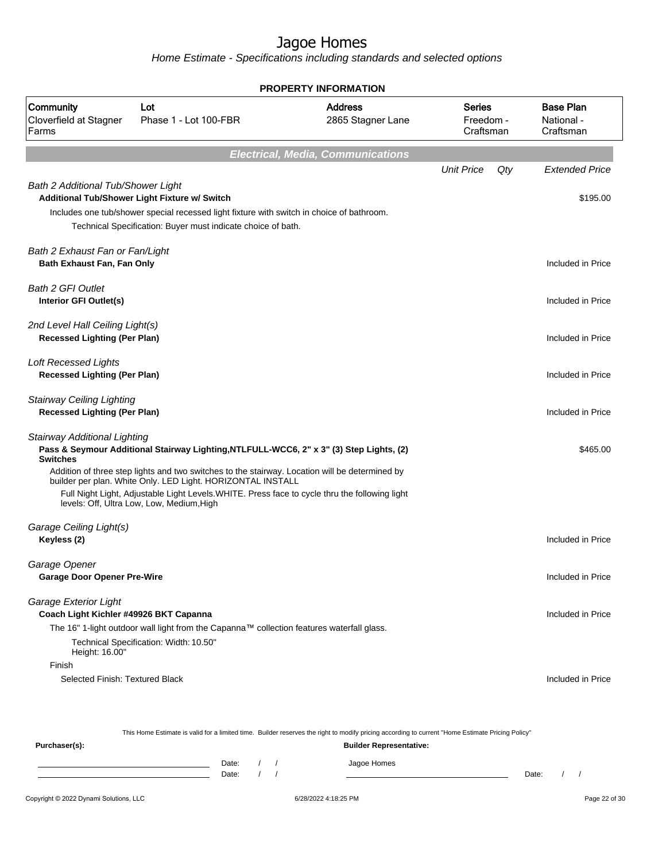Home Estimate - Specifications including standards and selected options

|                                                                                   |                                                                                                                                                                                                                                                                                                                                                                                                         | <b>PROPERTY INFORMATION</b>              |                                         |     |                                             |
|-----------------------------------------------------------------------------------|---------------------------------------------------------------------------------------------------------------------------------------------------------------------------------------------------------------------------------------------------------------------------------------------------------------------------------------------------------------------------------------------------------|------------------------------------------|-----------------------------------------|-----|---------------------------------------------|
| Community<br>Cloverfield at Stagner<br>Farms                                      | Lot<br>Phase 1 - Lot 100-FBR                                                                                                                                                                                                                                                                                                                                                                            | <b>Address</b><br>2865 Stagner Lane      | <b>Series</b><br>Freedom -<br>Craftsman |     | <b>Base Plan</b><br>National -<br>Craftsman |
|                                                                                   |                                                                                                                                                                                                                                                                                                                                                                                                         | <b>Electrical, Media, Communications</b> |                                         |     |                                             |
|                                                                                   |                                                                                                                                                                                                                                                                                                                                                                                                         |                                          | <b>Unit Price</b>                       | Qty | <b>Extended Price</b>                       |
| Bath 2 Additional Tub/Shower Light                                                | Additional Tub/Shower Light Fixture w/ Switch<br>Includes one tub/shower special recessed light fixture with switch in choice of bathroom.<br>Technical Specification: Buyer must indicate choice of bath.                                                                                                                                                                                              |                                          |                                         |     | \$195.00                                    |
| Bath 2 Exhaust Fan or Fan/Light<br>Bath Exhaust Fan, Fan Only                     |                                                                                                                                                                                                                                                                                                                                                                                                         |                                          |                                         |     | Included in Price                           |
| <b>Bath 2 GFI Outlet</b><br><b>Interior GFI Outlet(s)</b>                         |                                                                                                                                                                                                                                                                                                                                                                                                         |                                          |                                         |     | Included in Price                           |
| 2nd Level Hall Ceiling Light(s)<br><b>Recessed Lighting (Per Plan)</b>            |                                                                                                                                                                                                                                                                                                                                                                                                         |                                          |                                         |     | Included in Price                           |
| <b>Loft Recessed Lights</b><br><b>Recessed Lighting (Per Plan)</b>                |                                                                                                                                                                                                                                                                                                                                                                                                         |                                          |                                         |     | Included in Price                           |
| <b>Stairway Ceiling Lighting</b><br><b>Recessed Lighting (Per Plan)</b>           |                                                                                                                                                                                                                                                                                                                                                                                                         |                                          |                                         |     | Included in Price                           |
| <b>Stairway Additional Lighting</b><br><b>Switches</b>                            | Pass & Seymour Additional Stairway Lighting, NTLFULL-WCC6, 2" x 3" (3) Step Lights, (2)<br>Addition of three step lights and two switches to the stairway. Location will be determined by<br>builder per plan. White Only. LED Light. HORIZONTAL INSTALL<br>Full Night Light, Adjustable Light Levels. WHITE. Press face to cycle thru the following light<br>levels: Off, Ultra Low, Low, Medium, High |                                          |                                         |     | \$465.00                                    |
| Garage Ceiling Light(s)<br>Keyless (2)                                            |                                                                                                                                                                                                                                                                                                                                                                                                         |                                          |                                         |     | Included in Price                           |
| Garage Opener<br><b>Garage Door Opener Pre-Wire</b>                               |                                                                                                                                                                                                                                                                                                                                                                                                         |                                          |                                         |     | Included in Price                           |
| Garage Exterior Light<br>Coach Light Kichler #49926 BKT Capanna<br>Height: 16.00" | The 16" 1-light outdoor wall light from the Capanna™ collection features waterfall glass.<br>Technical Specification: Width: 10.50"                                                                                                                                                                                                                                                                     |                                          |                                         |     | Included in Price                           |
| Finish<br>Selected Finish: Textured Black                                         |                                                                                                                                                                                                                                                                                                                                                                                                         |                                          |                                         |     | Included in Price                           |

This Home Estimate is valid for a limited time. Builder reserves the right to modify pricing according to current "Home Estimate Pricing Policy"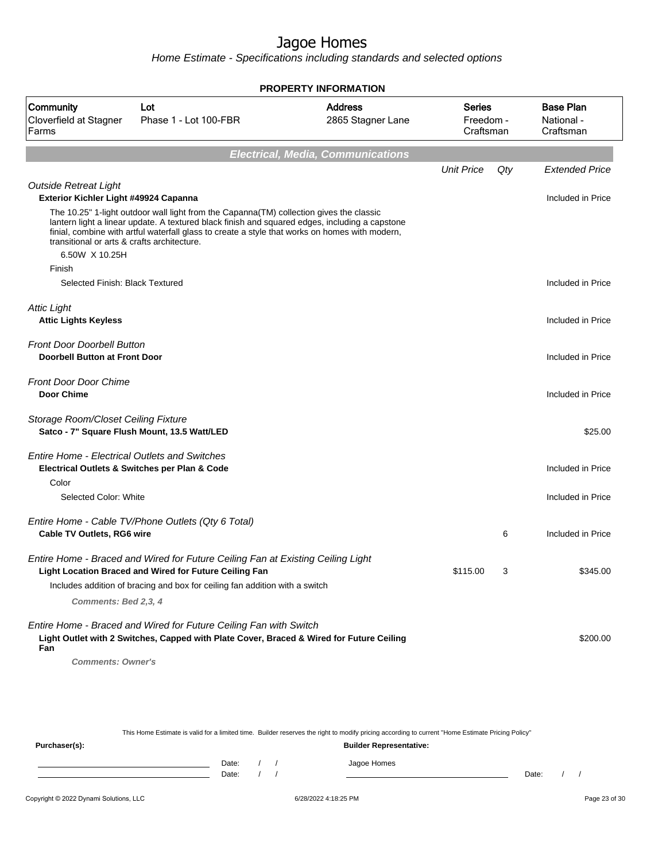Home Estimate - Specifications including standards and selected options

|                                                                                                                                                                                                                                                                                                                                            |                                                                                                                                                                                                                          | <b>PROPERTY INFORMATION</b>         |                                         |     |                                             |
|--------------------------------------------------------------------------------------------------------------------------------------------------------------------------------------------------------------------------------------------------------------------------------------------------------------------------------------------|--------------------------------------------------------------------------------------------------------------------------------------------------------------------------------------------------------------------------|-------------------------------------|-----------------------------------------|-----|---------------------------------------------|
| Community<br>Cloverfield at Stagner<br>Farms                                                                                                                                                                                                                                                                                               | Lot<br>Phase 1 - Lot 100-FBR                                                                                                                                                                                             | <b>Address</b><br>2865 Stagner Lane | <b>Series</b><br>Freedom -<br>Craftsman |     | <b>Base Plan</b><br>National -<br>Craftsman |
|                                                                                                                                                                                                                                                                                                                                            |                                                                                                                                                                                                                          | Electrical, Media, Communications   |                                         |     |                                             |
|                                                                                                                                                                                                                                                                                                                                            |                                                                                                                                                                                                                          |                                     | <b>Unit Price</b>                       | Qty | <b>Extended Price</b>                       |
| <b>Outside Retreat Light</b><br>Exterior Kichler Light #49924 Capanna                                                                                                                                                                                                                                                                      |                                                                                                                                                                                                                          |                                     |                                         |     | Included in Price                           |
| The 10.25" 1-light outdoor wall light from the Capanna(TM) collection gives the classic<br>lantern light a linear update. A textured black finish and squared edges, including a capstone<br>finial, combine with artful waterfall glass to create a style that works on homes with modern,<br>transitional or arts & crafts architecture. |                                                                                                                                                                                                                          |                                     |                                         |     |                                             |
| 6.50W X 10.25H<br>Finish                                                                                                                                                                                                                                                                                                                   |                                                                                                                                                                                                                          |                                     |                                         |     |                                             |
| Selected Finish: Black Textured                                                                                                                                                                                                                                                                                                            |                                                                                                                                                                                                                          |                                     |                                         |     | Included in Price                           |
| <b>Attic Light</b>                                                                                                                                                                                                                                                                                                                         |                                                                                                                                                                                                                          |                                     |                                         |     |                                             |
| <b>Attic Lights Keyless</b>                                                                                                                                                                                                                                                                                                                |                                                                                                                                                                                                                          |                                     |                                         |     | Included in Price                           |
| <b>Front Door Doorbell Button</b><br><b>Doorbell Button at Front Door</b>                                                                                                                                                                                                                                                                  |                                                                                                                                                                                                                          |                                     |                                         |     | Included in Price                           |
| <b>Front Door Door Chime</b><br><b>Door Chime</b>                                                                                                                                                                                                                                                                                          |                                                                                                                                                                                                                          |                                     |                                         |     | Included in Price                           |
| Storage Room/Closet Ceiling Fixture<br>Satco - 7" Square Flush Mount, 13.5 Watt/LED                                                                                                                                                                                                                                                        |                                                                                                                                                                                                                          |                                     |                                         |     | \$25.00                                     |
| <b>Entire Home - Electrical Outlets and Switches</b><br>Electrical Outlets & Switches per Plan & Code                                                                                                                                                                                                                                      |                                                                                                                                                                                                                          |                                     |                                         |     | Included in Price                           |
| Color<br>Selected Color: White                                                                                                                                                                                                                                                                                                             |                                                                                                                                                                                                                          |                                     |                                         |     | Included in Price                           |
|                                                                                                                                                                                                                                                                                                                                            |                                                                                                                                                                                                                          |                                     |                                         |     |                                             |
| Cable TV Outlets, RG6 wire                                                                                                                                                                                                                                                                                                                 | Entire Home - Cable TV/Phone Outlets (Qty 6 Total)                                                                                                                                                                       |                                     |                                         | 6   | Included in Price                           |
|                                                                                                                                                                                                                                                                                                                                            | Entire Home - Braced and Wired for Future Ceiling Fan at Existing Ceiling Light<br>Light Location Braced and Wired for Future Ceiling Fan<br>Includes addition of bracing and box for ceiling fan addition with a switch |                                     | \$115.00                                | 3   | \$345.00                                    |
| Comments: Bed 2,3, 4                                                                                                                                                                                                                                                                                                                       |                                                                                                                                                                                                                          |                                     |                                         |     |                                             |
| Fan<br><b>Comments: Owner's</b>                                                                                                                                                                                                                                                                                                            | Entire Home - Braced and Wired for Future Ceiling Fan with Switch<br>Light Outlet with 2 Switches, Capped with Plate Cover, Braced & Wired for Future Ceiling                                                            |                                     |                                         |     | \$200.00                                    |

This Home Estimate is valid for a limited time. Builder reserves the right to modify pricing according to current "Home Estimate Pricing Policy" **Purchaser(s): Builder Representative:** Date: / / Jagoe Homes<br>Date: / / Jagoe Homes Date: / / **Date: / / 2006** Date: / / / Date: / / /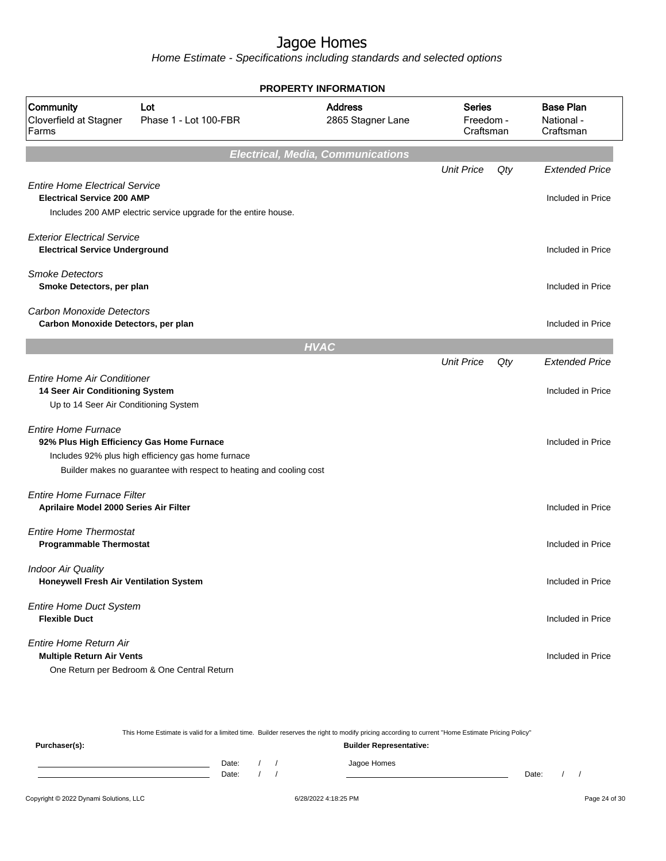Home Estimate - Specifications including standards and selected options

|                                                                                                                |                                                                                                                           | <b>PROPERTY INFORMATION</b>              |                                         |     |                                             |
|----------------------------------------------------------------------------------------------------------------|---------------------------------------------------------------------------------------------------------------------------|------------------------------------------|-----------------------------------------|-----|---------------------------------------------|
| Community<br>Cloverfield at Stagner<br>Farms                                                                   | Lot<br>Phase 1 - Lot 100-FBR                                                                                              | <b>Address</b><br>2865 Stagner Lane      | <b>Series</b><br>Freedom -<br>Craftsman |     | <b>Base Plan</b><br>National -<br>Craftsman |
|                                                                                                                |                                                                                                                           | <b>Electrical, Media, Communications</b> |                                         |     |                                             |
|                                                                                                                |                                                                                                                           |                                          | <b>Unit Price</b>                       | Qty | <b>Extended Price</b>                       |
| <b>Entire Home Electrical Service</b><br><b>Electrical Service 200 AMP</b>                                     | Includes 200 AMP electric service upgrade for the entire house.                                                           |                                          |                                         |     | Included in Price                           |
| <b>Exterior Electrical Service</b><br><b>Electrical Service Underground</b>                                    |                                                                                                                           |                                          |                                         |     | Included in Price                           |
| <b>Smoke Detectors</b><br>Smoke Detectors, per plan                                                            |                                                                                                                           |                                          |                                         |     | Included in Price                           |
| Carbon Monoxide Detectors<br>Carbon Monoxide Detectors, per plan                                               |                                                                                                                           |                                          |                                         |     | Included in Price                           |
|                                                                                                                |                                                                                                                           | <b>HVAC</b>                              |                                         |     |                                             |
|                                                                                                                |                                                                                                                           |                                          | <b>Unit Price</b>                       | Qty | <b>Extended Price</b>                       |
| <b>Entire Home Air Conditioner</b><br>14 Seer Air Conditioning System<br>Up to 14 Seer Air Conditioning System |                                                                                                                           |                                          |                                         |     | Included in Price                           |
| <b>Entire Home Furnace</b><br>92% Plus High Efficiency Gas Home Furnace                                        | Includes 92% plus high efficiency gas home furnace<br>Builder makes no guarantee with respect to heating and cooling cost |                                          |                                         |     | Included in Price                           |
| <b>Entire Home Furnace Filter</b><br>Aprilaire Model 2000 Series Air Filter                                    |                                                                                                                           |                                          |                                         |     | Included in Price                           |
| <b>Entire Home Thermostat</b><br><b>Programmable Thermostat</b>                                                |                                                                                                                           |                                          |                                         |     | Included in Price                           |
| <b>Indoor Air Quality</b><br>Honeywell Fresh Air Ventilation System                                            |                                                                                                                           |                                          |                                         |     | Included in Price                           |
| <b>Entire Home Duct System</b><br><b>Flexible Duct</b>                                                         |                                                                                                                           |                                          |                                         |     | Included in Price                           |
| Entire Home Return Air<br><b>Multiple Return Air Vents</b>                                                     | One Return per Bedroom & One Central Return                                                                               |                                          |                                         |     | Included in Price                           |

Copyright © 2022 Dynami Solutions, LLC <br>
6/28/2022 4:18:25 PM Page 24 of 30 This Home Estimate is valid for a limited time. Builder reserves the right to modify pricing according to current "Home Estimate Pricing Policy" **Purchaser(s): Builder Representative:** Date: / / Jagoe Homes<br>Date: / / Jagoe Homes Date: / / **Date: / / 2006** Date: / / / Date: / / /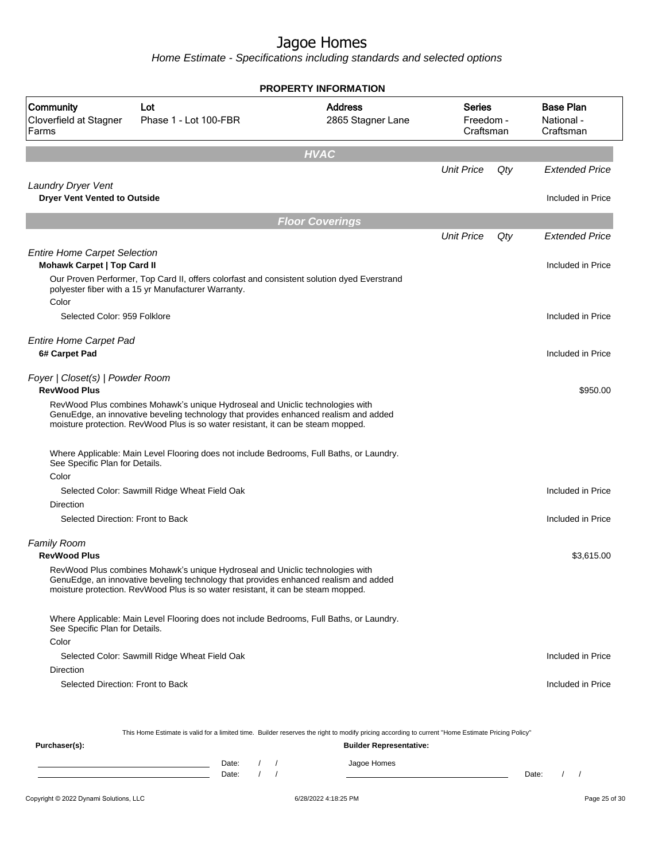Home Estimate - Specifications including standards and selected options

|                                                                           |                                                                                                                                                                                                                                                           | <b>PROPERTY INFORMATION</b>         |                                         |     |                                             |
|---------------------------------------------------------------------------|-----------------------------------------------------------------------------------------------------------------------------------------------------------------------------------------------------------------------------------------------------------|-------------------------------------|-----------------------------------------|-----|---------------------------------------------|
| Community<br>Cloverfield at Stagner<br>Farms                              | Lot<br>Phase 1 - Lot 100-FBR                                                                                                                                                                                                                              | <b>Address</b><br>2865 Stagner Lane | <b>Series</b><br>Freedom -<br>Craftsman |     | <b>Base Plan</b><br>National -<br>Craftsman |
|                                                                           |                                                                                                                                                                                                                                                           | <b>HVAC</b>                         |                                         |     |                                             |
|                                                                           |                                                                                                                                                                                                                                                           |                                     | <b>Unit Price</b>                       | Qty | <b>Extended Price</b>                       |
| <b>Laundry Dryer Vent</b><br><b>Dryer Vent Vented to Outside</b>          |                                                                                                                                                                                                                                                           |                                     |                                         |     | Included in Price                           |
|                                                                           |                                                                                                                                                                                                                                                           | <b>Floor Coverings</b>              |                                         |     |                                             |
|                                                                           |                                                                                                                                                                                                                                                           |                                     | <b>Unit Price</b>                       | Qty | Extended Price                              |
| <b>Entire Home Carpet Selection</b><br><b>Mohawk Carpet   Top Card II</b> |                                                                                                                                                                                                                                                           |                                     |                                         |     | Included in Price                           |
| Color                                                                     | Our Proven Performer, Top Card II, offers colorfast and consistent solution dyed Everstrand<br>polyester fiber with a 15 yr Manufacturer Warranty.                                                                                                        |                                     |                                         |     |                                             |
| Selected Color: 959 Folklore                                              |                                                                                                                                                                                                                                                           |                                     |                                         |     | Included in Price                           |
| <b>Entire Home Carpet Pad</b><br>6# Carpet Pad                            |                                                                                                                                                                                                                                                           |                                     |                                         |     | Included in Price                           |
| Foyer   Closet(s)   Powder Room<br><b>RevWood Plus</b>                    | RevWood Plus combines Mohawk's unique Hydroseal and Uniclic technologies with<br>GenuEdge, an innovative beveling technology that provides enhanced realism and added<br>moisture protection. RevWood Plus is so water resistant, it can be steam mopped. |                                     |                                         |     | \$950.00                                    |
| See Specific Plan for Details.                                            | Where Applicable: Main Level Flooring does not include Bedrooms, Full Baths, or Laundry.                                                                                                                                                                  |                                     |                                         |     |                                             |
| Color                                                                     | Selected Color: Sawmill Ridge Wheat Field Oak                                                                                                                                                                                                             |                                     |                                         |     | Included in Price                           |
| Direction                                                                 |                                                                                                                                                                                                                                                           |                                     |                                         |     |                                             |
| Selected Direction: Front to Back                                         |                                                                                                                                                                                                                                                           |                                     |                                         |     | Included in Price                           |
| <b>Family Room</b><br><b>RevWood Plus</b>                                 |                                                                                                                                                                                                                                                           |                                     |                                         |     | \$3,615.00                                  |
|                                                                           | RevWood Plus combines Mohawk's unique Hydroseal and Uniclic technologies with<br>GenuEdge, an innovative beveling technology that provides enhanced realism and added<br>moisture protection. RevWood Plus is so water resistant, it can be steam mopped. |                                     |                                         |     |                                             |
| See Specific Plan for Details.                                            | Where Applicable: Main Level Flooring does not include Bedrooms, Full Baths, or Laundry.                                                                                                                                                                  |                                     |                                         |     |                                             |
| Color                                                                     |                                                                                                                                                                                                                                                           |                                     |                                         |     |                                             |
|                                                                           | Selected Color: Sawmill Ridge Wheat Field Oak                                                                                                                                                                                                             |                                     |                                         |     | Included in Price                           |
| Direction<br>Selected Direction: Front to Back                            |                                                                                                                                                                                                                                                           |                                     |                                         |     | Included in Price                           |
|                                                                           |                                                                                                                                                                                                                                                           |                                     |                                         |     |                                             |

This Home Estimate is valid for a limited time. Builder reserves the right to modify pricing according to current "Home Estimate Pricing Policy"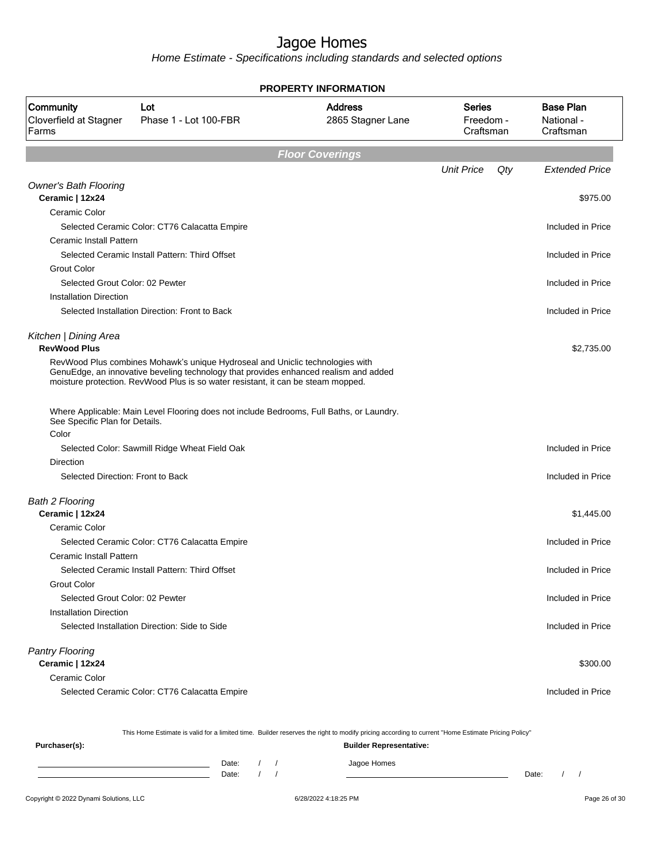Home Estimate - Specifications including standards and selected options

| Community<br>Cloverfield at Stagner<br>Farms    | Lot<br>Phase 1 - Lot 100-FBR                                                                                                                                                                                                                              | <b>Address</b><br>2865 Stagner Lane | <b>Series</b><br>Freedom -<br>Craftsman | <b>Base Plan</b><br>National -<br>Craftsman |
|-------------------------------------------------|-----------------------------------------------------------------------------------------------------------------------------------------------------------------------------------------------------------------------------------------------------------|-------------------------------------|-----------------------------------------|---------------------------------------------|
|                                                 |                                                                                                                                                                                                                                                           | <b>Floor Coverings</b>              |                                         |                                             |
|                                                 |                                                                                                                                                                                                                                                           |                                     | <b>Unit Price</b><br>Qty                | <b>Extended Price</b>                       |
| <b>Owner's Bath Flooring</b><br>Ceramic   12x24 |                                                                                                                                                                                                                                                           |                                     |                                         | \$975.00                                    |
| Ceramic Color                                   |                                                                                                                                                                                                                                                           |                                     |                                         |                                             |
|                                                 | Selected Ceramic Color: CT76 Calacatta Empire                                                                                                                                                                                                             |                                     |                                         | Included in Price                           |
| <b>Ceramic Install Pattern</b>                  |                                                                                                                                                                                                                                                           |                                     |                                         |                                             |
|                                                 | Selected Ceramic Install Pattern: Third Offset                                                                                                                                                                                                            |                                     |                                         | Included in Price                           |
| <b>Grout Color</b>                              |                                                                                                                                                                                                                                                           |                                     |                                         |                                             |
| Selected Grout Color: 02 Pewter                 |                                                                                                                                                                                                                                                           |                                     |                                         | Included in Price                           |
| <b>Installation Direction</b>                   |                                                                                                                                                                                                                                                           |                                     |                                         |                                             |
|                                                 | Selected Installation Direction: Front to Back                                                                                                                                                                                                            |                                     |                                         | Included in Price                           |
| Kitchen   Dining Area<br><b>RevWood Plus</b>    |                                                                                                                                                                                                                                                           |                                     |                                         | \$2,735.00                                  |
|                                                 | RevWood Plus combines Mohawk's unique Hydroseal and Uniclic technologies with<br>GenuEdge, an innovative beveling technology that provides enhanced realism and added<br>moisture protection. RevWood Plus is so water resistant, it can be steam mopped. |                                     |                                         |                                             |
| See Specific Plan for Details.                  | Where Applicable: Main Level Flooring does not include Bedrooms, Full Baths, or Laundry.                                                                                                                                                                  |                                     |                                         |                                             |
| Color                                           |                                                                                                                                                                                                                                                           |                                     |                                         |                                             |
|                                                 | Selected Color: Sawmill Ridge Wheat Field Oak                                                                                                                                                                                                             |                                     |                                         | Included in Price                           |
| Direction                                       |                                                                                                                                                                                                                                                           |                                     |                                         |                                             |
| Selected Direction: Front to Back               |                                                                                                                                                                                                                                                           |                                     |                                         | Included in Price                           |
| <b>Bath 2 Flooring</b>                          |                                                                                                                                                                                                                                                           |                                     |                                         |                                             |
| Ceramic   12x24                                 |                                                                                                                                                                                                                                                           |                                     |                                         | \$1,445.00                                  |
| Ceramic Color                                   |                                                                                                                                                                                                                                                           |                                     |                                         |                                             |
|                                                 | Selected Ceramic Color: CT76 Calacatta Empire                                                                                                                                                                                                             |                                     |                                         | Included in Price                           |
| <b>Ceramic Install Pattern</b>                  |                                                                                                                                                                                                                                                           |                                     |                                         |                                             |
|                                                 | Selected Ceramic Install Pattern: Third Offset                                                                                                                                                                                                            |                                     |                                         | Included in Price                           |
| Grout Color                                     |                                                                                                                                                                                                                                                           |                                     |                                         |                                             |
| Selected Grout Color: 02 Pewter                 |                                                                                                                                                                                                                                                           |                                     |                                         | Included in Price                           |
| <b>Installation Direction</b>                   |                                                                                                                                                                                                                                                           |                                     |                                         |                                             |
|                                                 | Selected Installation Direction: Side to Side                                                                                                                                                                                                             |                                     |                                         | Included in Price                           |
| <b>Pantry Flooring</b>                          |                                                                                                                                                                                                                                                           |                                     |                                         |                                             |
| Ceramic   12x24                                 |                                                                                                                                                                                                                                                           |                                     |                                         | \$300.00                                    |
| Ceramic Color                                   |                                                                                                                                                                                                                                                           |                                     |                                         |                                             |
|                                                 | Selected Ceramic Color: CT76 Calacatta Empire                                                                                                                                                                                                             |                                     |                                         | Included in Price                           |

**PROPERTY INFORMATION**

This Home Estimate is valid for a limited time. Builder reserves the right to modify pricing according to current "Home Estimate Pricing Policy"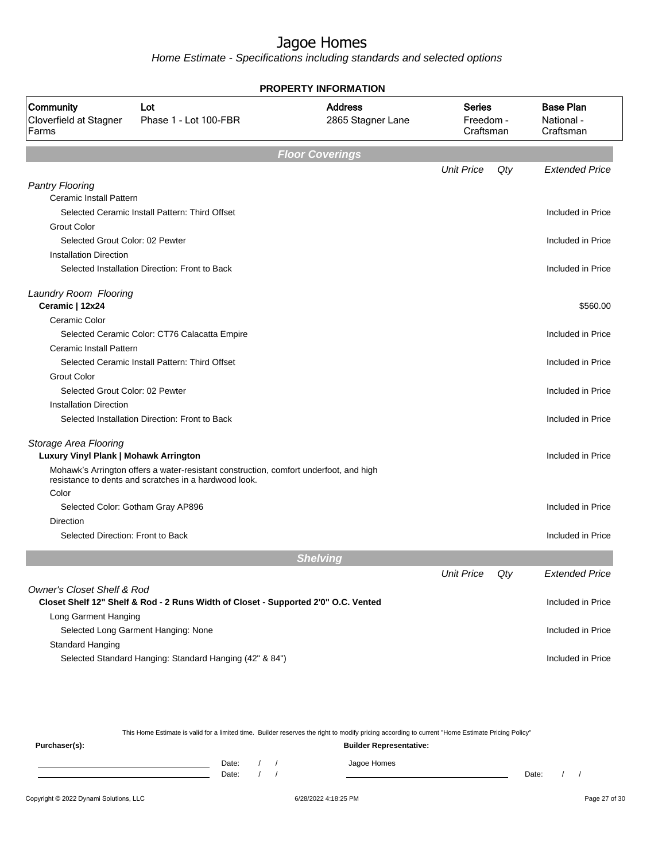Home Estimate - Specifications including standards and selected options

|                                              |                                                                                                                                                | <b>PROPERTY INFORMATION</b>         |                                         |     |                                             |
|----------------------------------------------|------------------------------------------------------------------------------------------------------------------------------------------------|-------------------------------------|-----------------------------------------|-----|---------------------------------------------|
| Community<br>Cloverfield at Stagner<br>Farms | Lot<br>Phase 1 - Lot 100-FBR                                                                                                                   | <b>Address</b><br>2865 Stagner Lane | <b>Series</b><br>Freedom -<br>Craftsman |     | <b>Base Plan</b><br>National -<br>Craftsman |
|                                              |                                                                                                                                                | <b>Floor Coverings</b>              |                                         |     |                                             |
|                                              |                                                                                                                                                |                                     | <b>Unit Price</b>                       | Qty | <b>Extended Price</b>                       |
| <b>Pantry Flooring</b>                       |                                                                                                                                                |                                     |                                         |     |                                             |
| <b>Ceramic Install Pattern</b>               |                                                                                                                                                |                                     |                                         |     |                                             |
|                                              | Selected Ceramic Install Pattern: Third Offset                                                                                                 |                                     |                                         |     | Included in Price                           |
| <b>Grout Color</b>                           |                                                                                                                                                |                                     |                                         |     |                                             |
| Selected Grout Color: 02 Pewter              |                                                                                                                                                |                                     |                                         |     | Included in Price                           |
| <b>Installation Direction</b>                |                                                                                                                                                |                                     |                                         |     |                                             |
|                                              | Selected Installation Direction: Front to Back                                                                                                 |                                     |                                         |     | Included in Price                           |
| Laundry Room Flooring                        |                                                                                                                                                |                                     |                                         |     |                                             |
| Ceramic   12x24                              |                                                                                                                                                |                                     |                                         |     | \$560.00                                    |
| Ceramic Color                                |                                                                                                                                                |                                     |                                         |     |                                             |
|                                              | Selected Ceramic Color: CT76 Calacatta Empire                                                                                                  |                                     |                                         |     | Included in Price                           |
| Ceramic Install Pattern                      |                                                                                                                                                |                                     |                                         |     |                                             |
|                                              | Selected Ceramic Install Pattern: Third Offset                                                                                                 |                                     |                                         |     | Included in Price                           |
| <b>Grout Color</b>                           |                                                                                                                                                |                                     |                                         |     |                                             |
| Selected Grout Color: 02 Pewter              |                                                                                                                                                |                                     |                                         |     | Included in Price                           |
| <b>Installation Direction</b>                |                                                                                                                                                |                                     |                                         |     |                                             |
|                                              | Selected Installation Direction: Front to Back                                                                                                 |                                     |                                         |     | Included in Price                           |
| Storage Area Flooring                        |                                                                                                                                                |                                     |                                         |     |                                             |
| Luxury Vinyl Plank   Mohawk Arrington        |                                                                                                                                                |                                     |                                         |     | Included in Price                           |
|                                              | Mohawk's Arrington offers a water-resistant construction, comfort underfoot, and high<br>resistance to dents and scratches in a hardwood look. |                                     |                                         |     |                                             |
| Color                                        |                                                                                                                                                |                                     |                                         |     |                                             |
|                                              | Selected Color: Gotham Gray AP896                                                                                                              |                                     |                                         |     | Included in Price                           |
| Direction                                    |                                                                                                                                                |                                     |                                         |     |                                             |
| Selected Direction: Front to Back            |                                                                                                                                                |                                     |                                         |     | Included in Price                           |
|                                              |                                                                                                                                                | <b>Shelving</b>                     |                                         |     |                                             |
|                                              |                                                                                                                                                |                                     | <b>Unit Price</b>                       | Qty | <b>Extended Price</b>                       |
| <b>Owner's Closet Shelf &amp; Rod</b>        |                                                                                                                                                |                                     |                                         |     |                                             |
|                                              | Closet Shelf 12" Shelf & Rod - 2 Runs Width of Closet - Supported 2'0" O.C. Vented                                                             |                                     |                                         |     | Included in Price                           |
| Long Garment Hanging                         |                                                                                                                                                |                                     |                                         |     |                                             |
|                                              | Selected Long Garment Hanging: None                                                                                                            |                                     |                                         |     | Included in Price                           |
| Standard Hanging                             |                                                                                                                                                |                                     |                                         |     |                                             |
|                                              | Selected Standard Hanging: Standard Hanging (42" & 84")                                                                                        |                                     |                                         |     | Included in Price                           |
|                                              |                                                                                                                                                |                                     |                                         |     |                                             |

This Home Estimate is valid for a limited time. Builder reserves the right to modify pricing according to current "Home Estimate Pricing Policy"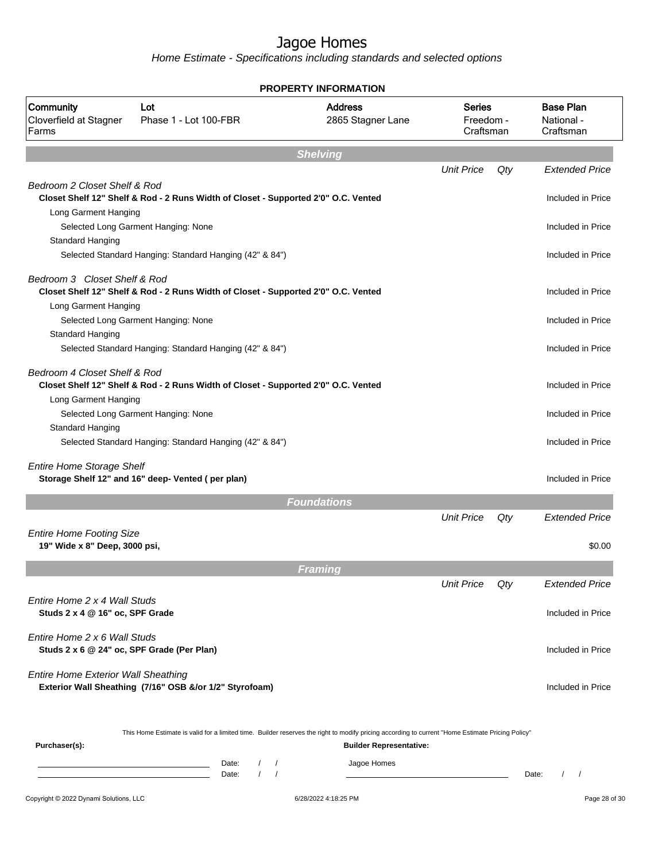Home Estimate - Specifications including standards and selected options

|                                                                            |                                                                                                                                                  | <b>PROPERTY INFORMATION</b>         |                                         |     |                                             |
|----------------------------------------------------------------------------|--------------------------------------------------------------------------------------------------------------------------------------------------|-------------------------------------|-----------------------------------------|-----|---------------------------------------------|
| Community<br>Cloverfield at Stagner<br>Farms                               | Lot<br>Phase 1 - Lot 100-FBR                                                                                                                     | <b>Address</b><br>2865 Stagner Lane | <b>Series</b><br>Freedom -<br>Craftsman |     | <b>Base Plan</b><br>National -<br>Craftsman |
|                                                                            |                                                                                                                                                  | <b>Shelving</b>                     |                                         |     |                                             |
|                                                                            |                                                                                                                                                  |                                     | <b>Unit Price</b>                       | Qty | <b>Extended Price</b>                       |
| Bedroom 2 Closet Shelf & Rod                                               | Closet Shelf 12" Shelf & Rod - 2 Runs Width of Closet - Supported 2'0" O.C. Vented                                                               |                                     |                                         |     | Included in Price                           |
| Long Garment Hanging<br><b>Standard Hanging</b>                            | Selected Long Garment Hanging: None                                                                                                              |                                     |                                         |     | Included in Price                           |
|                                                                            | Selected Standard Hanging: Standard Hanging (42" & 84")                                                                                          |                                     |                                         |     | Included in Price                           |
| Bedroom 3 Closet Shelf & Rod<br>Long Garment Hanging                       | Closet Shelf 12" Shelf & Rod - 2 Runs Width of Closet - Supported 2'0" O.C. Vented                                                               |                                     |                                         |     | Included in Price                           |
| <b>Standard Hanging</b>                                                    | Selected Long Garment Hanging: None                                                                                                              |                                     |                                         |     | Included in Price                           |
|                                                                            | Selected Standard Hanging: Standard Hanging (42" & 84")                                                                                          |                                     |                                         |     | Included in Price                           |
| Bedroom 4 Closet Shelf & Rod<br>Long Garment Hanging                       | Closet Shelf 12" Shelf & Rod - 2 Runs Width of Closet - Supported 2'0" O.C. Vented                                                               |                                     |                                         |     | Included in Price                           |
| Standard Hanging                                                           | Selected Long Garment Hanging: None                                                                                                              |                                     |                                         |     | Included in Price                           |
|                                                                            | Selected Standard Hanging: Standard Hanging (42" & 84")                                                                                          |                                     |                                         |     | Included in Price                           |
| <b>Entire Home Storage Shelf</b>                                           | Storage Shelf 12" and 16" deep- Vented (per plan)                                                                                                |                                     |                                         |     | Included in Price                           |
|                                                                            |                                                                                                                                                  | <b>Foundations</b>                  |                                         |     |                                             |
| <b>Entire Home Footing Size</b><br>19" Wide x 8" Deep, 3000 psi,           |                                                                                                                                                  |                                     | <b>Unit Price</b>                       | Qty | <b>Extended Price</b><br>\$0.00             |
|                                                                            |                                                                                                                                                  |                                     |                                         |     |                                             |
|                                                                            |                                                                                                                                                  | <b>Framing</b>                      |                                         |     |                                             |
| Entire Home 2 x 4 Wall Studs<br>Studs 2 x 4 @ 16" oc, SPF Grade            |                                                                                                                                                  |                                     | <b>Unit Price</b>                       | Qty | Extended Price<br>Included in Price         |
| Entire Home 2 x 6 Wall Studs<br>Studs 2 x 6 @ 24" oc, SPF Grade (Per Plan) |                                                                                                                                                  |                                     |                                         |     | Included in Price                           |
| <b>Entire Home Exterior Wall Sheathing</b>                                 | Exterior Wall Sheathing (7/16" OSB &/or 1/2" Styrofoam)                                                                                          |                                     |                                         |     | Included in Price                           |
| Purchaser(s):                                                              | This Home Estimate is valid for a limited time. Builder reserves the right to modify pricing according to current "Home Estimate Pricing Policy" | <b>Builder Representative:</b>      |                                         |     |                                             |
|                                                                            | Date:<br>$\sqrt{2}$<br>$\sqrt{2}$<br><u> 1989 - Johann Barn, mars eta bainar eta idazlea (</u><br>$\prime$<br>$\prime$<br>Date:                  | Jagoe Homes                         |                                         |     | $1 \quad 1$<br>Date:                        |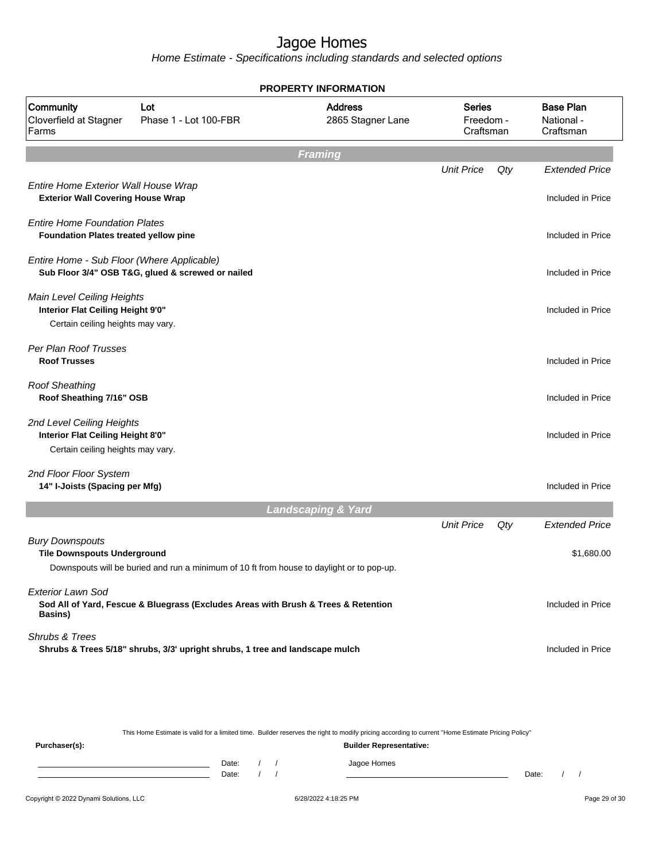Home Estimate - Specifications including standards and selected options

|                                                                                                      |                                                                                           | <b>PROPERTY INFORMATION</b>         |                                         |     |                                             |
|------------------------------------------------------------------------------------------------------|-------------------------------------------------------------------------------------------|-------------------------------------|-----------------------------------------|-----|---------------------------------------------|
| Community<br>Cloverfield at Stagner<br>Farms                                                         | Lot<br>Phase 1 - Lot 100-FBR                                                              | <b>Address</b><br>2865 Stagner Lane | <b>Series</b><br>Freedom -<br>Craftsman |     | <b>Base Plan</b><br>National -<br>Craftsman |
|                                                                                                      |                                                                                           | <b>Framing</b>                      |                                         |     |                                             |
|                                                                                                      |                                                                                           |                                     | <b>Unit Price</b>                       | Qty | <b>Extended Price</b>                       |
| Entire Home Exterior Wall House Wrap<br><b>Exterior Wall Covering House Wrap</b>                     |                                                                                           |                                     |                                         |     | Included in Price                           |
| <b>Entire Home Foundation Plates</b><br>Foundation Plates treated yellow pine                        |                                                                                           |                                     |                                         |     | Included in Price                           |
| Entire Home - Sub Floor (Where Applicable)                                                           | Sub Floor 3/4" OSB T&G, glued & screwed or nailed                                         |                                     |                                         |     | Included in Price                           |
| Main Level Ceiling Heights<br>Interior Flat Ceiling Height 9'0"<br>Certain ceiling heights may vary. |                                                                                           |                                     |                                         |     | Included in Price                           |
| Per Plan Roof Trusses<br><b>Roof Trusses</b>                                                         |                                                                                           |                                     |                                         |     | Included in Price                           |
| <b>Roof Sheathing</b><br>Roof Sheathing 7/16" OSB                                                    |                                                                                           |                                     |                                         |     | Included in Price                           |
| 2nd Level Ceiling Heights<br>Interior Flat Ceiling Height 8'0"<br>Certain ceiling heights may vary.  |                                                                                           |                                     |                                         |     | Included in Price                           |
| 2nd Floor Floor System<br>14" I-Joists (Spacing per Mfg)                                             |                                                                                           |                                     |                                         |     | Included in Price                           |
|                                                                                                      |                                                                                           | <b>Landscaping &amp; Yard</b>       |                                         |     |                                             |
|                                                                                                      |                                                                                           |                                     | <b>Unit Price</b>                       | Qty | <b>Extended Price</b>                       |
| <b>Bury Downspouts</b><br><b>Tile Downspouts Underground</b>                                         | Downspouts will be buried and run a minimum of 10 ft from house to daylight or to pop-up. |                                     |                                         |     | \$1,680.00                                  |
| <b>Exterior Lawn Sod</b><br><b>Basins</b> )                                                          | Sod All of Yard, Fescue & Bluegrass (Excludes Areas with Brush & Trees & Retention        |                                     |                                         |     | Included in Price                           |
| Shrubs & Trees                                                                                       | Shrubs & Trees 5/18" shrubs, 3/3' upright shrubs, 1 tree and landscape mulch              |                                     |                                         |     | Included in Price                           |
|                                                                                                      |                                                                                           |                                     |                                         |     |                                             |

This Home Estimate is valid for a limited time. Builder reserves the right to modify pricing according to current "Home Estimate Pricing Policy"

**Purchaser(s): Builder Representative:** Date: / / Jagoe Homes<br>Date: / / Jagoe Homes Date: / / **Date: / / 2006** Date: / / / Date: / / /